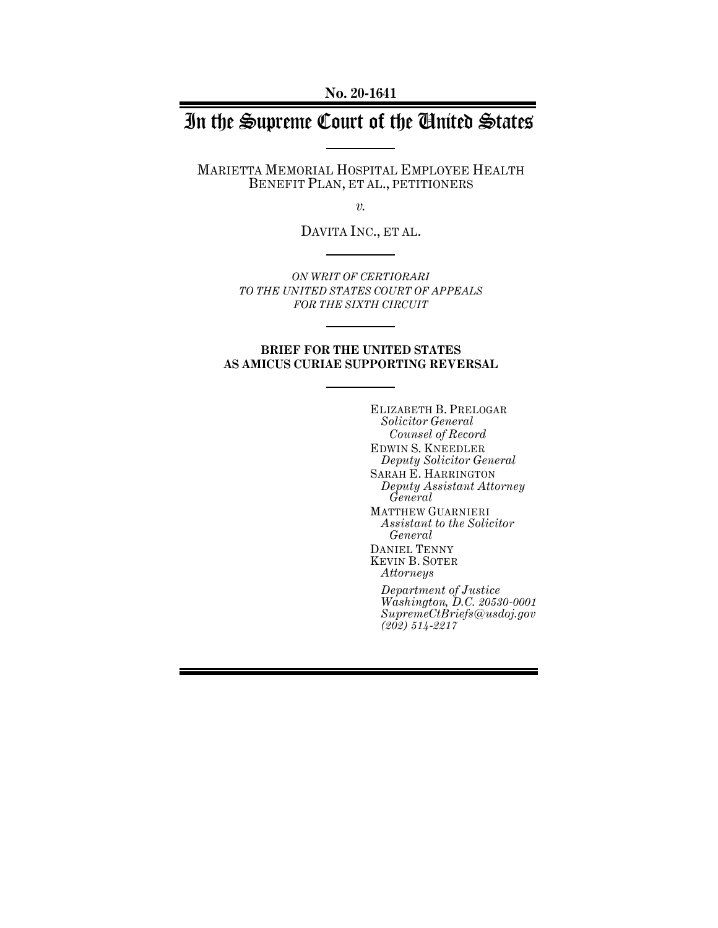**No. 20-1641**

# In the Supreme Court of the United States

MARIETTA MEMORIAL HOSPITAL EMPLOYEE HEALTH BENEFIT PLAN, ET AL., PETITIONERS

*v.*

DAVITA INC., ET AL.

*ON WRIT OF CERTIORARI TO THE UNITED STATES COURT OF APPEALS FOR THE SIXTH CIRCUIT*

## **BRIEF FOR THE UNITED STATES AS AMICUS CURIAE SUPPORTING REVERSAL**

ELIZABETH B. PRELOGAR *Solicitor General Counsel of Record* EDWIN S. KNEEDLER *Deputy Solicitor General* SARAH E. HARRINGTON *Deputy Assistant Attorney General* MATTHEW GUARNIERI *Assistant to the Solicitor General* DANIEL TENNY KEVIN B. SOTER *Attorneys Department of Justice Washington, D.C. 20530-0001 SupremeCtBriefs@usdoj.gov (202) 514-2217*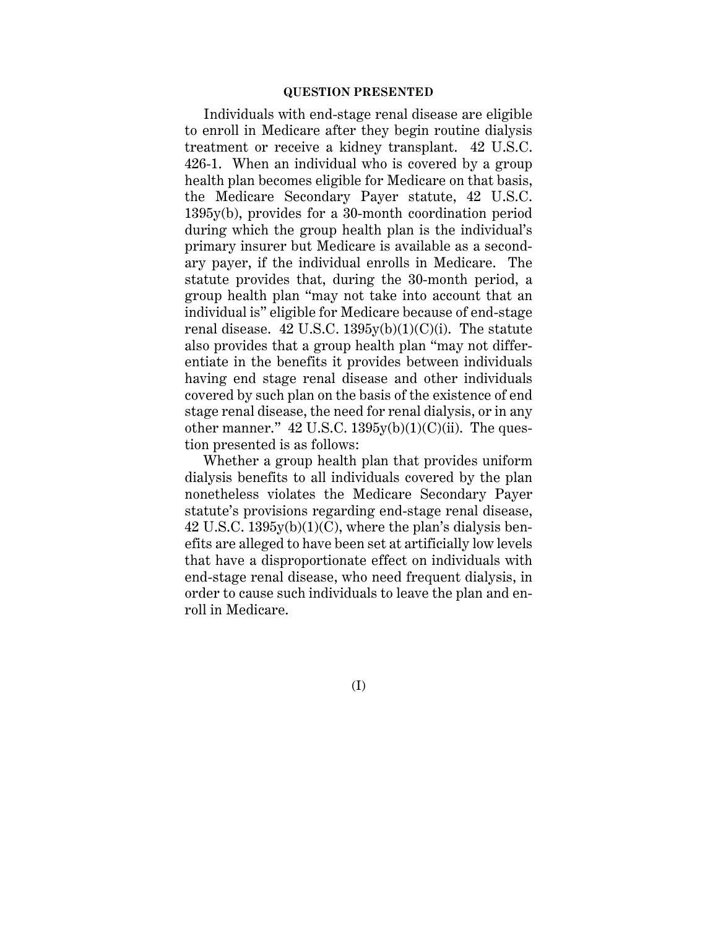## **QUESTION PRESENTED**

Individuals with end-stage renal disease are eligible to enroll in Medicare after they begin routine dialysis treatment or receive a kidney transplant. 42 U.S.C. 426-1. When an individual who is covered by a group health plan becomes eligible for Medicare on that basis, the Medicare Secondary Payer statute, 42 U.S.C. 1395y(b), provides for a 30-month coordination period during which the group health plan is the individual's primary insurer but Medicare is available as a secondary payer, if the individual enrolls in Medicare. The statute provides that, during the 30-month period, a group health plan "may not take into account that an individual is" eligible for Medicare because of end-stage renal disease.  $42$  U.S.C.  $1395y(b)(1)(C)(i)$ . The statute also provides that a group health plan "may not differentiate in the benefits it provides between individuals having end stage renal disease and other individuals covered by such plan on the basis of the existence of end stage renal disease, the need for renal dialysis, or in any other manner."  $42$  U.S.C.  $1395y(b)(1)(C)(ii)$ . The question presented is as follows:

Whether a group health plan that provides uniform dialysis benefits to all individuals covered by the plan nonetheless violates the Medicare Secondary Payer statute's provisions regarding end-stage renal disease, 42 U.S.C.  $1395y(b)(1)(C)$ , where the plan's dialysis benefits are alleged to have been set at artificially low levels that have a disproportionate effect on individuals with end-stage renal disease, who need frequent dialysis, in order to cause such individuals to leave the plan and enroll in Medicare.

(I)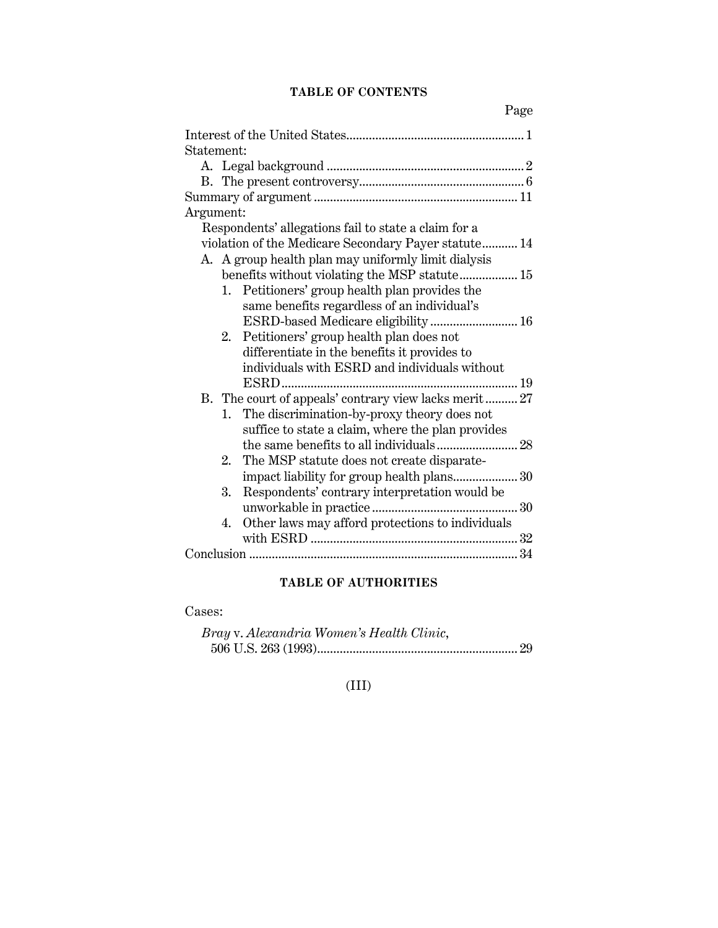## **TABLE OF CONTENTS**

| Statement:                                             |
|--------------------------------------------------------|
|                                                        |
|                                                        |
|                                                        |
| Argument:                                              |
| Respondents' allegations fail to state a claim for a   |
| violation of the Medicare Secondary Payer statute 14   |
| A. A group health plan may uniformly limit dialysis    |
| benefits without violating the MSP statute 15          |
| Petitioners' group health plan provides the<br>1.      |
| same benefits regardless of an individual's            |
| ESRD-based Medicare eligibility 16                     |
| Petitioners' group health plan does not<br>2.          |
| differentiate in the benefits it provides to           |
| individuals with ESRD and individuals without          |
|                                                        |
| B. The court of appeals' contrary view lacks merit  27 |
|                                                        |
| The discrimination-by-proxy theory does not<br>1.      |
| suffice to state a claim, where the plan provides      |
|                                                        |
| The MSP statute does not create disparate-<br>2.       |
|                                                        |
| 3.<br>Respondents' contrary interpretation would be    |
|                                                        |
| Other laws may afford protections to individuals<br>4. |
|                                                        |
|                                                        |

## **TABLE OF AUTHORITIES**

Cases:

| Bray v. Alexandria Women's Health Clinic, |  |
|-------------------------------------------|--|
|                                           |  |

## (III)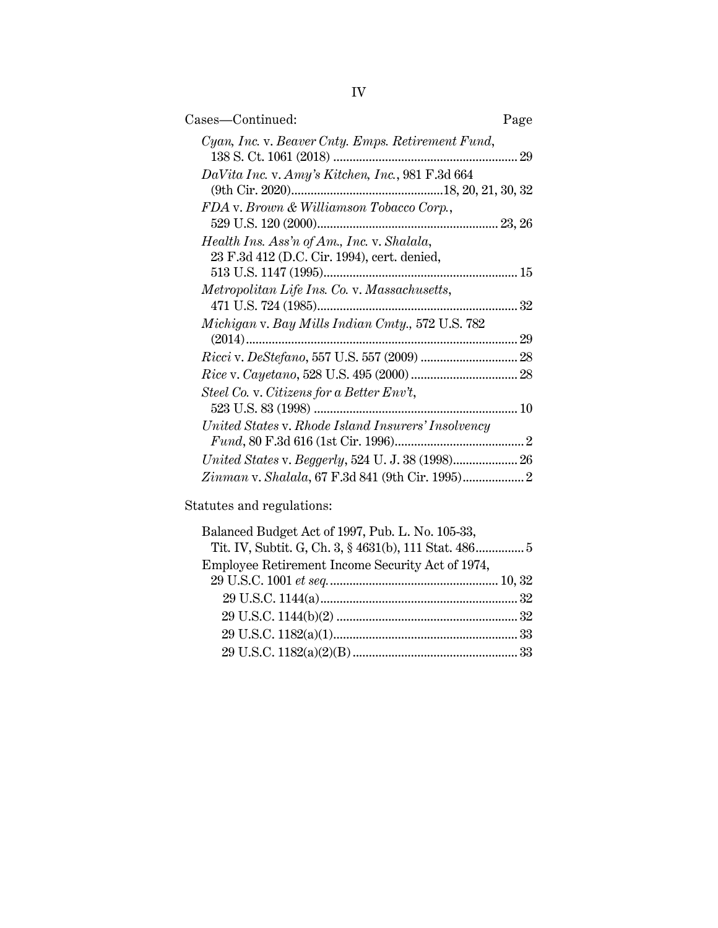| Cases—Continued:                                                                          | Page |
|-------------------------------------------------------------------------------------------|------|
| Cyan, Inc. v. Beaver Cnty. Emps. Retirement Fund,                                         |      |
| DaVita Inc. v. Amy's Kitchen, Inc., 981 F.3d 664                                          |      |
| FDA v. Brown & Williamson Tobacco Corp.,                                                  |      |
| Health Ins. Ass'n of Am., Inc. v. Shalala,<br>23 F.3d 412 (D.C. Cir. 1994), cert. denied, |      |
| Metropolitan Life Ins. Co. v. Massachusetts,                                              |      |
| Michigan v. Bay Mills Indian Cmty., 572 U.S. 782                                          | 32   |
|                                                                                           | 29   |
| Steel Co. v. Citizens for a Better Env't,                                                 |      |
| United States v. Rhode Island Insurers' Insolvency                                        |      |
| United States v. Beggerly, 524 U. J. 38 (1998) 26                                         |      |
| Zinman v. Shalala, 67 F.3d 841 (9th Cir. 1995) 2                                          |      |

Statutes and regulations:

| Balanced Budget Act of 1997, Pub. L. No. 105-33,      |  |
|-------------------------------------------------------|--|
| Tit. IV, Subtit. G, Ch. 3, § 4631(b), 111 Stat. 486 5 |  |
| Employee Retirement Income Security Act of 1974,      |  |
|                                                       |  |
|                                                       |  |
|                                                       |  |
|                                                       |  |
|                                                       |  |
|                                                       |  |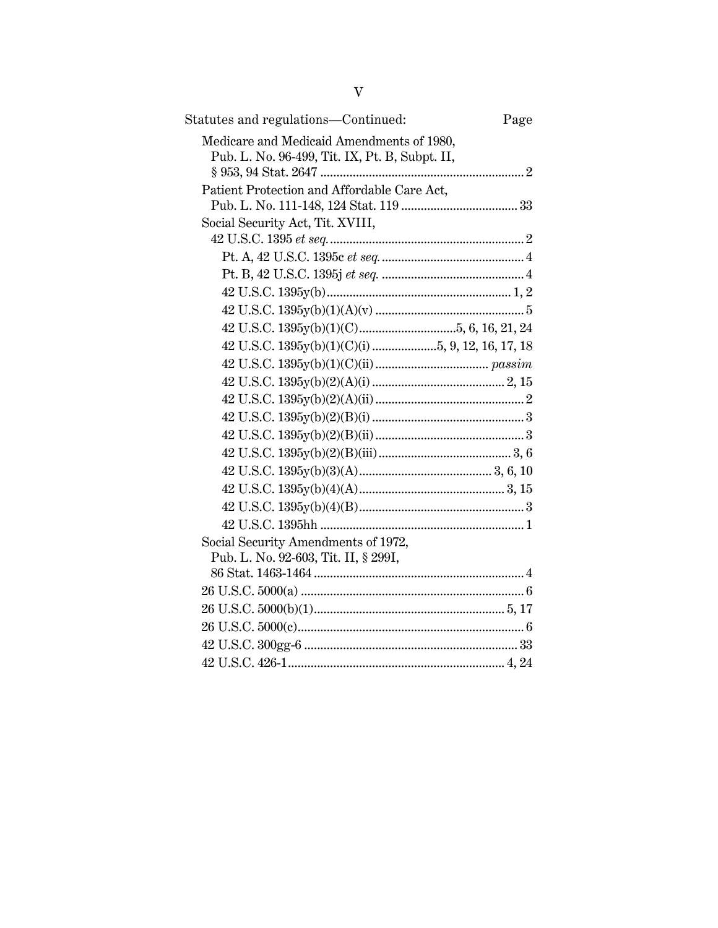| Statutes and regulations-Continued:            | Page |
|------------------------------------------------|------|
| Medicare and Medicaid Amendments of 1980,      |      |
| Pub. L. No. 96-499, Tit. IX, Pt. B, Subpt. II, |      |
|                                                |      |
| Patient Protection and Affordable Care Act,    |      |
|                                                |      |
| Social Security Act, Tit. XVIII,               |      |
|                                                |      |
|                                                |      |
|                                                |      |
|                                                |      |
|                                                |      |
|                                                |      |
|                                                |      |
|                                                |      |
|                                                |      |
|                                                |      |
|                                                |      |
|                                                |      |
|                                                |      |
|                                                |      |
|                                                |      |
|                                                |      |
|                                                |      |
| Social Security Amendments of 1972,            |      |
| Pub. L. No. 92-603, Tit. II, § 299I,           |      |
|                                                |      |
|                                                |      |
|                                                |      |
|                                                |      |
|                                                |      |
|                                                |      |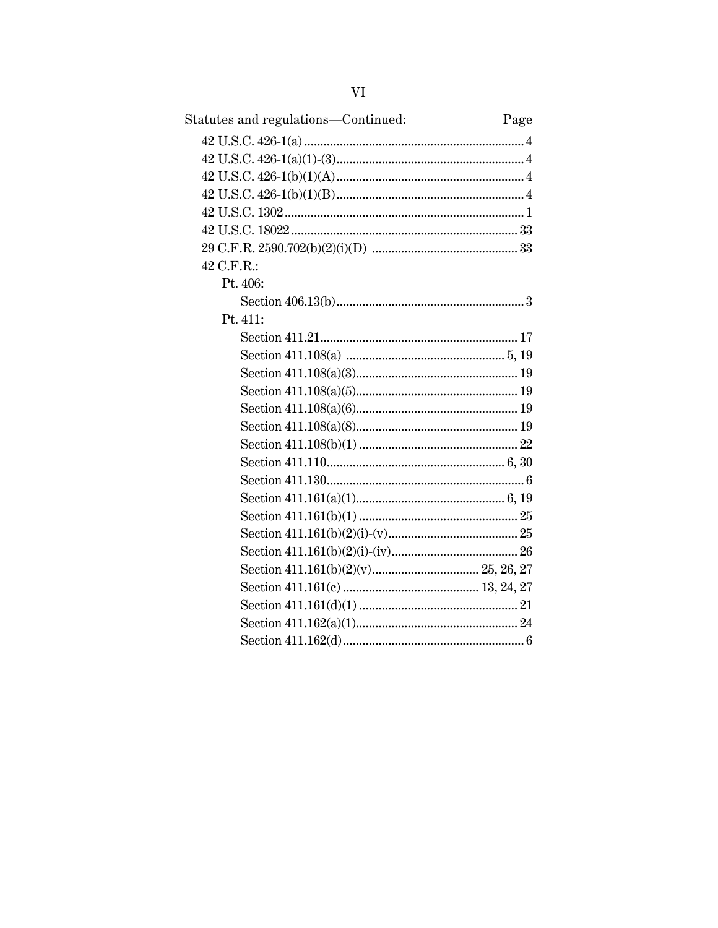| Statutes and regulations—Continued: | Page |
|-------------------------------------|------|
|                                     |      |
|                                     |      |
|                                     |      |
|                                     |      |
|                                     |      |
|                                     |      |
|                                     |      |
| 42 C.F.R.:                          |      |
| Pt. 406:                            |      |
|                                     |      |
| Pt. 411:                            |      |
|                                     |      |
|                                     |      |
|                                     |      |
|                                     |      |
|                                     |      |
|                                     |      |
|                                     |      |
|                                     |      |
|                                     |      |
|                                     |      |
|                                     |      |
|                                     |      |
|                                     |      |
|                                     |      |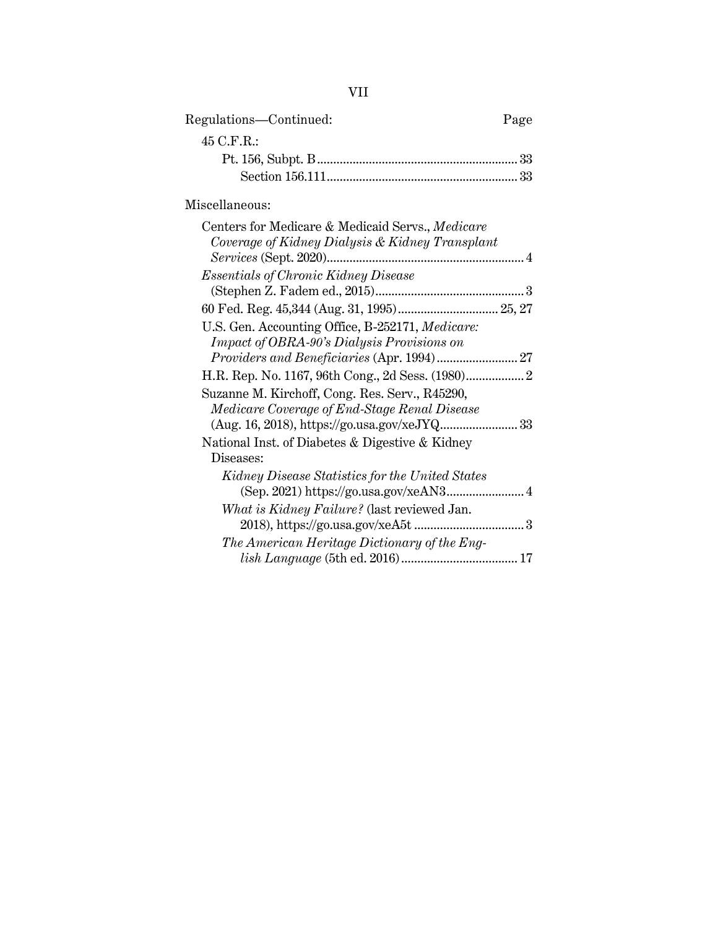| Regulations—Continued: | Page |
|------------------------|------|
| $45$ C.F.R.:           |      |
|                        |      |
|                        |      |
|                        |      |

Miscellaneous:

| Centers for Medicare & Medicaid Servs., Medicare  |
|---------------------------------------------------|
| Coverage of Kidney Dialysis & Kidney Transplant   |
| Services (Sept. 2020)                             |
| <i>Essentials of Chronic Kidney Disease</i>       |
|                                                   |
|                                                   |
| U.S. Gen. Accounting Office, B-252171, Medicare:  |
| <b>Impact of OBRA-90's Dialysis Provisions on</b> |
|                                                   |
|                                                   |
| Suzanne M. Kirchoff, Cong. Res. Serv., R45290,    |
| Medicare Coverage of End-Stage Renal Disease      |
|                                                   |
| National Inst. of Diabetes & Digestive & Kidney   |
| Diseases:                                         |
| Kidney Disease Statistics for the United States   |
|                                                   |
| What is Kidney Failure? (last reviewed Jan.       |
|                                                   |
| The American Heritage Dictionary of the Eng-      |
| 17                                                |
|                                                   |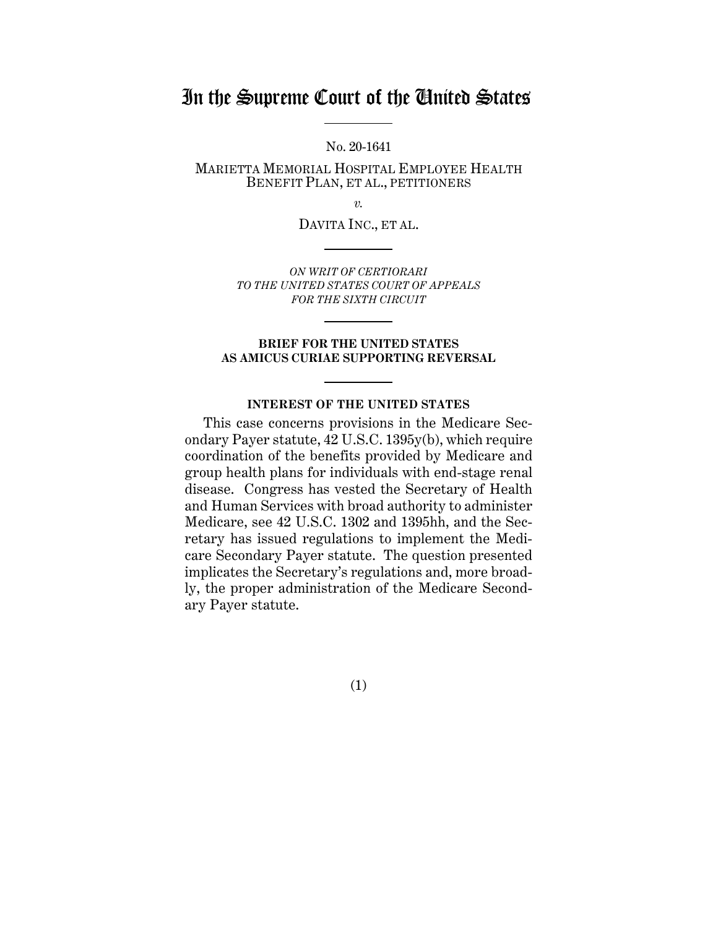## In the Supreme Court of the United States

No. 20-1641

MARIETTA MEMORIAL HOSPITAL EMPLOYEE HEALTH BENEFIT PLAN, ET AL., PETITIONERS

*v.*

DAVITA INC., ET AL.

*ON WRIT OF CERTIORARI TO THE UNITED STATES COURT OF APPEALS FOR THE SIXTH CIRCUIT*

### **BRIEF FOR THE UNITED STATES AS AMICUS CURIAE SUPPORTING REVERSAL**

### **INTEREST OF THE UNITED STATES**

This case concerns provisions in the Medicare Secondary Payer statute, 42 U.S.C. 1395y(b), which require coordination of the benefits provided by Medicare and group health plans for individuals with end-stage renal disease. Congress has vested the Secretary of Health and Human Services with broad authority to administer Medicare, see 42 U.S.C. 1302 and 1395hh, and the Secretary has issued regulations to implement the Medicare Secondary Payer statute. The question presented implicates the Secretary's regulations and, more broadly, the proper administration of the Medicare Secondary Payer statute.

(1)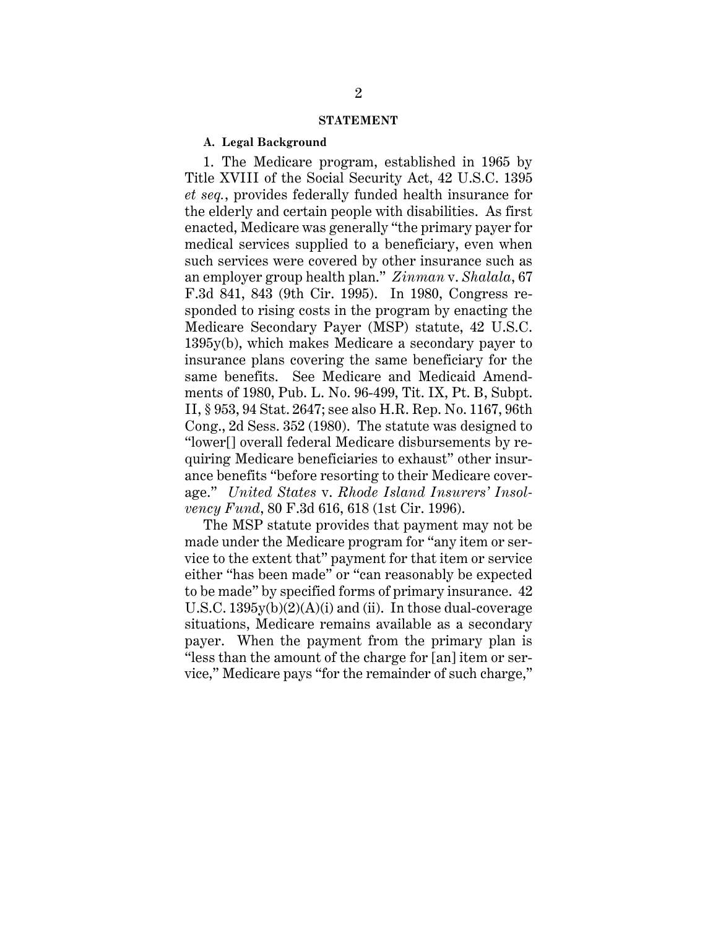#### **STATEMENT**

### **A. Legal Background**

1. The Medicare program, established in 1965 by Title XVIII of the Social Security Act, 42 U.S.C. 1395 *et seq.*, provides federally funded health insurance for the elderly and certain people with disabilities. As first enacted, Medicare was generally "the primary payer for medical services supplied to a beneficiary, even when such services were covered by other insurance such as an employer group health plan." *Zinman* v. *Shalala*, 67 F.3d 841, 843 (9th Cir. 1995). In 1980, Congress responded to rising costs in the program by enacting the Medicare Secondary Payer (MSP) statute, 42 U.S.C. 1395y(b), which makes Medicare a secondary payer to insurance plans covering the same beneficiary for the same benefits. See Medicare and Medicaid Amendments of 1980, Pub. L. No. 96-499, Tit. IX, Pt. B, Subpt. II, § 953, 94 Stat. 2647; see also H.R. Rep. No. 1167, 96th Cong., 2d Sess. 352 (1980). The statute was designed to "lower[] overall federal Medicare disbursements by requiring Medicare beneficiaries to exhaust" other insurance benefits "before resorting to their Medicare coverage." *United States* v. *Rhode Island Insurers' Insolvency Fund*, 80 F.3d 616, 618 (1st Cir. 1996).

The MSP statute provides that payment may not be made under the Medicare program for "any item or service to the extent that" payment for that item or service either "has been made" or "can reasonably be expected to be made" by specified forms of primary insurance. 42 U.S.C.  $1395y(b)(2)(A)(i)$  and (ii). In those dual-coverage situations, Medicare remains available as a secondary payer. When the payment from the primary plan is "less than the amount of the charge for [an] item or service," Medicare pays "for the remainder of such charge,"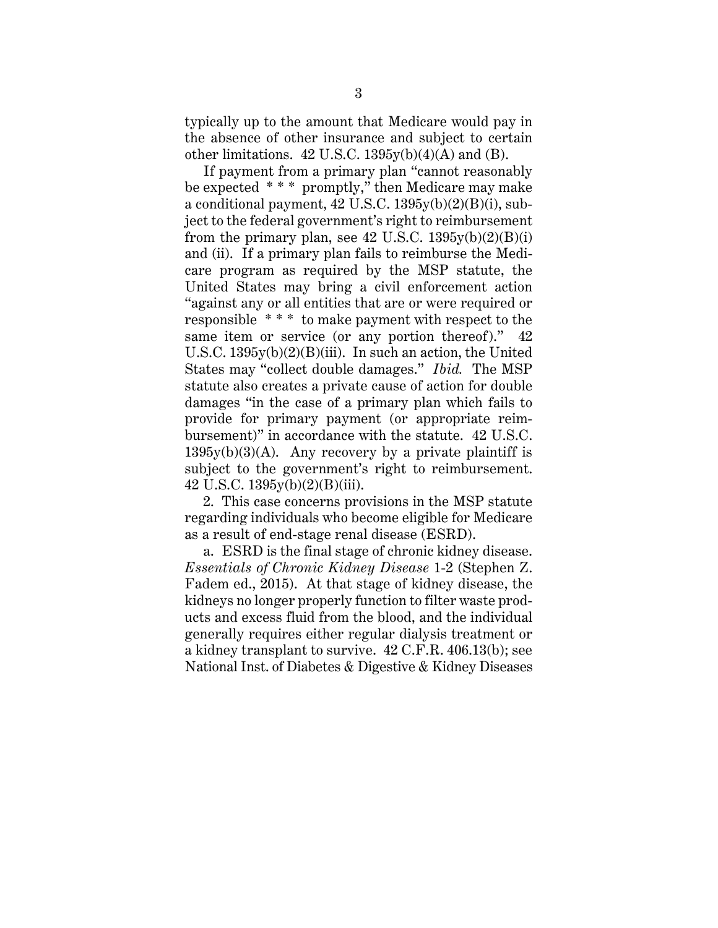typically up to the amount that Medicare would pay in the absence of other insurance and subject to certain other limitations. 42 U.S.C. 1395y(b)(4)(A) and (B).

If payment from a primary plan "cannot reasonably be expected \* \* \* promptly," then Medicare may make a conditional payment,  $42 \text{ U.S.C. } 1395 \text{y(b)}(2)(\text{B)}(i)$ , subject to the federal government's right to reimbursement from the primary plan, see 42 U.S.C.  $1395v(b)(2)(B)(i)$ and (ii). If a primary plan fails to reimburse the Medicare program as required by the MSP statute, the United States may bring a civil enforcement action "against any or all entities that are or were required or responsible \* \* \* to make payment with respect to the same item or service (or any portion thereof)." 42 U.S.C.  $1395y(b)(2)(B)(iii)$ . In such an action, the United States may "collect double damages." *Ibid.* The MSP statute also creates a private cause of action for double damages "in the case of a primary plan which fails to provide for primary payment (or appropriate reimbursement)" in accordance with the statute. 42 U.S.C.  $1395y(b)(3)(A)$ . Any recovery by a private plaintiff is subject to the government's right to reimbursement. 42 U.S.C. 1395y(b)(2)(B)(iii).

2. This case concerns provisions in the MSP statute regarding individuals who become eligible for Medicare as a result of end-stage renal disease (ESRD).

a. ESRD is the final stage of chronic kidney disease. *Essentials of Chronic Kidney Disease* 1-2 (Stephen Z. Fadem ed., 2015). At that stage of kidney disease, the kidneys no longer properly function to filter waste products and excess fluid from the blood, and the individual generally requires either regular dialysis treatment or a kidney transplant to survive. 42 C.F.R. 406.13(b); see National Inst. of Diabetes & Digestive & Kidney Diseases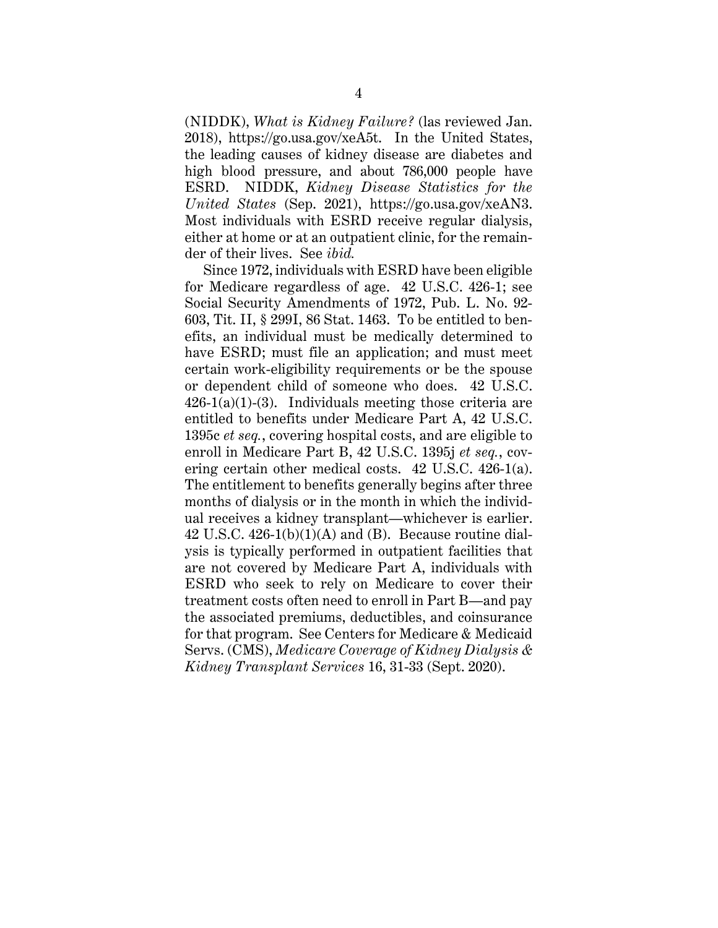(NIDDK), *What is Kidney Failure?* (las reviewed Jan. 2018), https://go.usa.gov/xeA5t. In the United States, the leading causes of kidney disease are diabetes and high blood pressure, and about 786,000 people have ESRD. NIDDK, *Kidney Disease Statistics for the United States* (Sep. 2021), https://go.usa.gov/xeAN3. Most individuals with ESRD receive regular dialysis, either at home or at an outpatient clinic, for the remainder of their lives. See *ibid.*

Since 1972, individuals with ESRD have been eligible for Medicare regardless of age. 42 U.S.C. 426-1; see Social Security Amendments of 1972, Pub. L. No. 92- 603, Tit. II, § 299I, 86 Stat. 1463. To be entitled to benefits, an individual must be medically determined to have ESRD; must file an application; and must meet certain work-eligibility requirements or be the spouse or dependent child of someone who does. 42 U.S.C.  $426-1(a)(1)-(3)$ . Individuals meeting those criteria are entitled to benefits under Medicare Part A, 42 U.S.C. 1395c *et seq.*, covering hospital costs, and are eligible to enroll in Medicare Part B, 42 U.S.C. 1395j *et seq.*, covering certain other medical costs. 42 U.S.C. 426-1(a). The entitlement to benefits generally begins after three months of dialysis or in the month in which the individual receives a kidney transplant—whichever is earlier. 42 U.S.C.  $426-1(b)(1)(A)$  and (B). Because routine dialysis is typically performed in outpatient facilities that are not covered by Medicare Part A, individuals with ESRD who seek to rely on Medicare to cover their treatment costs often need to enroll in Part B—and pay the associated premiums, deductibles, and coinsurance for that program. See Centers for Medicare & Medicaid Servs. (CMS), *Medicare Coverage of Kidney Dialysis & Kidney Transplant Services* 16, 31-33 (Sept. 2020).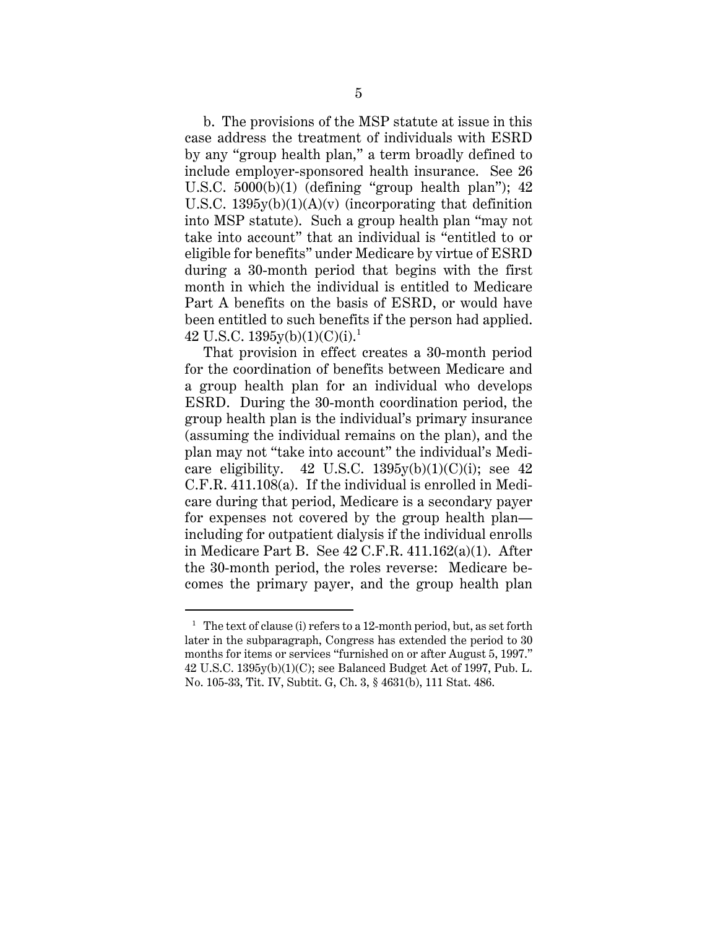b. The provisions of the MSP statute at issue in this case address the treatment of individuals with ESRD by any "group health plan," a term broadly defined to include employer-sponsored health insurance. See 26 U.S.C.  $5000(b)(1)$  (defining "group health plan");  $42$ U.S.C.  $1395y(b)(1)(A)(v)$  (incorporating that definition into MSP statute). Such a group health plan "may not take into account" that an individual is "entitled to or eligible for benefits" under Medicare by virtue of ESRD during a 30-month period that begins with the first month in which the individual is entitled to Medicare Part A benefits on the basis of ESRD, or would have been entitled to such benefits if the person had applied. 42 U.S.C.  $1395v(b)(1)(C)(i).<sup>1</sup>$ 

That provision in effect creates a 30-month period for the coordination of benefits between Medicare and a group health plan for an individual who develops ESRD. During the 30-month coordination period, the group health plan is the individual's primary insurance (assuming the individual remains on the plan), and the plan may not "take into account" the individual's Medicare eligibility. 42 U.S.C.  $1395y(b)(1)(C)(i)$ ; see 42 C.F.R. 411.108(a). If the individual is enrolled in Medicare during that period, Medicare is a secondary payer for expenses not covered by the group health plan including for outpatient dialysis if the individual enrolls in Medicare Part B. See 42 C.F.R. 411.162(a)(1). After the 30-month period, the roles reverse: Medicare becomes the primary payer, and the group health plan

<sup>&</sup>lt;sup>1</sup> The text of clause (i) refers to a 12-month period, but, as set forth later in the subparagraph, Congress has extended the period to 30 months for items or services "furnished on or after August 5, 1997." 42 U.S.C. 1395y(b)(1)(C); see Balanced Budget Act of 1997, Pub. L. No. 105-33, Tit. IV, Subtit. G, Ch. 3, § 4631(b), 111 Stat. 486.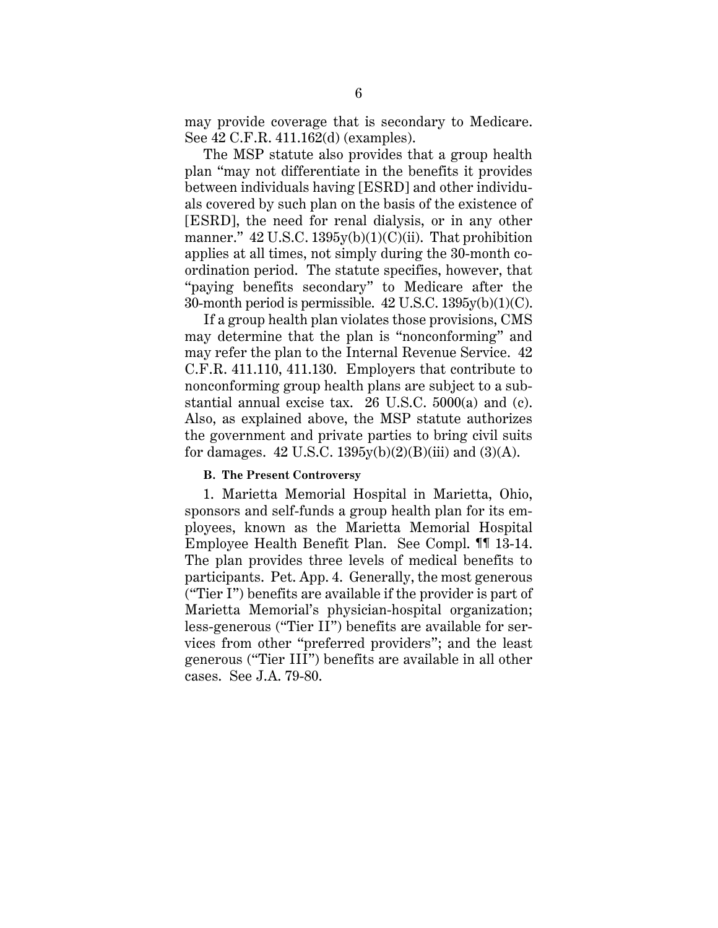may provide coverage that is secondary to Medicare. See 42 C.F.R. 411.162(d) (examples).

The MSP statute also provides that a group health plan "may not differentiate in the benefits it provides between individuals having [ESRD] and other individuals covered by such plan on the basis of the existence of [ESRD], the need for renal dialysis, or in any other manner."  $42 \text{ U.S.C. } 1395 \text{y(b)}(1)(\text{C)}$ (ii). That prohibition applies at all times, not simply during the 30-month coordination period. The statute specifies, however, that "paying benefits secondary" to Medicare after the 30-month period is permissible. 42 U.S.C. 1395y(b)(1)(C).

If a group health plan violates those provisions, CMS may determine that the plan is "nonconforming" and may refer the plan to the Internal Revenue Service. 42 C.F.R. 411.110, 411.130. Employers that contribute to nonconforming group health plans are subject to a substantial annual excise tax. 26 U.S.C. 5000(a) and (c). Also, as explained above, the MSP statute authorizes the government and private parties to bring civil suits for damages. 42 U.S.C.  $1395y(b)(2)(B)(iii)$  and  $(3)(A)$ .

## **B. The Present Controversy**

1. Marietta Memorial Hospital in Marietta, Ohio, sponsors and self-funds a group health plan for its employees, known as the Marietta Memorial Hospital Employee Health Benefit Plan. See Compl. ¶¶ 13-14. The plan provides three levels of medical benefits to participants. Pet. App. 4. Generally, the most generous ("Tier I") benefits are available if the provider is part of Marietta Memorial's physician-hospital organization; less-generous ("Tier II") benefits are available for services from other "preferred providers"; and the least generous ("Tier III") benefits are available in all other cases. See J.A. 79-80.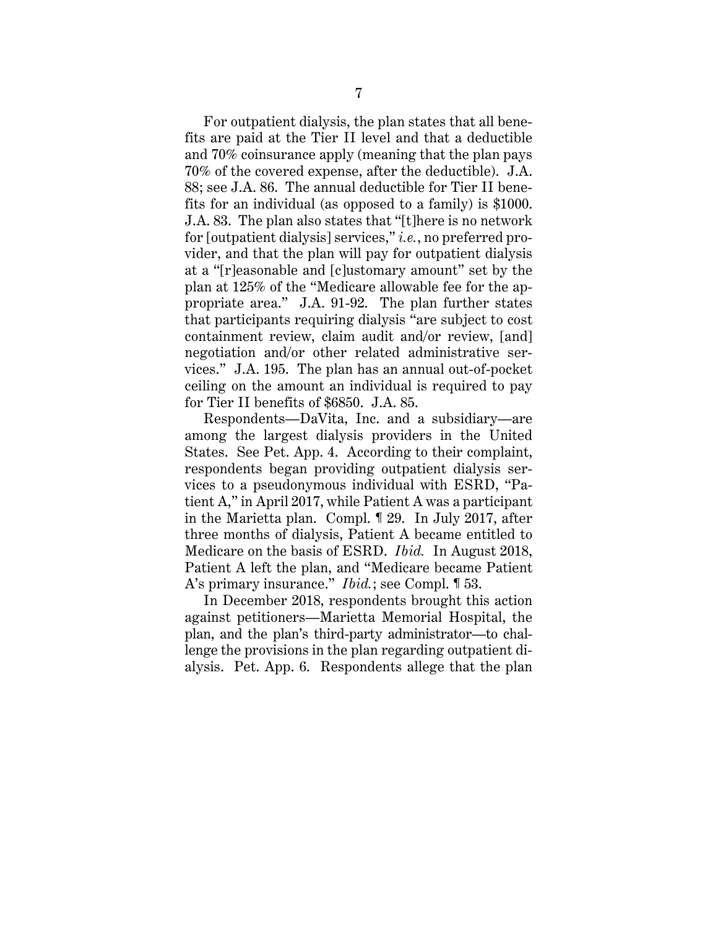For outpatient dialysis, the plan states that all benefits are paid at the Tier II level and that a deductible and 70% coinsurance apply (meaning that the plan pays 70% of the covered expense, after the deductible). J.A. 88; see J.A. 86. The annual deductible for Tier II benefits for an individual (as opposed to a family) is \$1000. J.A. 83. The plan also states that "[t]here is no network for [outpatient dialysis] services," *i.e.*, no preferred provider, and that the plan will pay for outpatient dialysis at a "[r]easonable and [c]ustomary amount" set by the plan at 125% of the "Medicare allowable fee for the appropriate area." J.A. 91-92. The plan further states that participants requiring dialysis "are subject to cost containment review, claim audit and/or review, [and] negotiation and/or other related administrative services." J.A. 195. The plan has an annual out-of-pocket ceiling on the amount an individual is required to pay for Tier II benefits of \$6850. J.A. 85.

Respondents—DaVita, Inc. and a subsidiary—are among the largest dialysis providers in the United States. See Pet. App. 4. According to their complaint, respondents began providing outpatient dialysis services to a pseudonymous individual with ESRD, "Patient A," in April 2017, while Patient A was a participant in the Marietta plan. Compl. ¶ 29. In July 2017, after three months of dialysis, Patient A became entitled to Medicare on the basis of ESRD. *Ibid.* In August 2018, Patient A left the plan, and "Medicare became Patient A's primary insurance." *Ibid.*; see Compl. ¶ 53.

In December 2018, respondents brought this action against petitioners—Marietta Memorial Hospital, the plan, and the plan's third-party administrator—to challenge the provisions in the plan regarding outpatient dialysis. Pet. App. 6. Respondents allege that the plan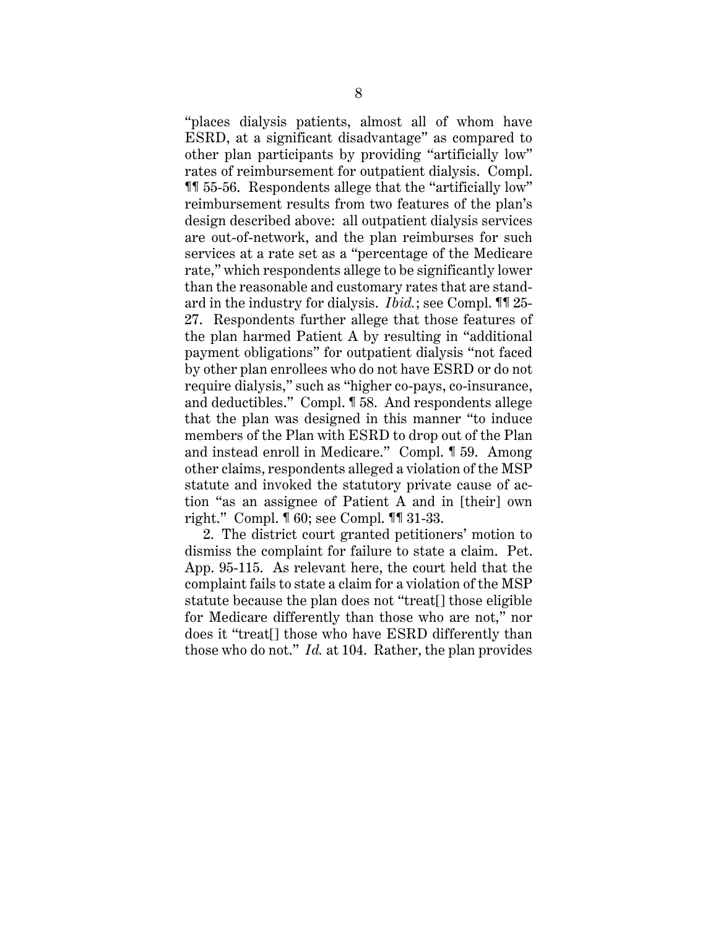"places dialysis patients, almost all of whom have ESRD, at a significant disadvantage" as compared to other plan participants by providing "artificially low" rates of reimbursement for outpatient dialysis. Compl. ¶¶ 55-56. Respondents allege that the "artificially low" reimbursement results from two features of the plan's design described above: all outpatient dialysis services are out-of-network, and the plan reimburses for such services at a rate set as a "percentage of the Medicare rate," which respondents allege to be significantly lower than the reasonable and customary rates that are standard in the industry for dialysis. *Ibid.*; see Compl. ¶¶ 25- 27. Respondents further allege that those features of the plan harmed Patient A by resulting in "additional payment obligations" for outpatient dialysis "not faced by other plan enrollees who do not have ESRD or do not require dialysis," such as "higher co-pays, co-insurance, and deductibles." Compl. ¶ 58. And respondents allege that the plan was designed in this manner "to induce members of the Plan with ESRD to drop out of the Plan and instead enroll in Medicare." Compl. ¶ 59. Among other claims, respondents alleged a violation of the MSP statute and invoked the statutory private cause of action "as an assignee of Patient A and in [their] own right." Compl. ¶ 60; see Compl. ¶¶ 31-33.

2. The district court granted petitioners' motion to dismiss the complaint for failure to state a claim. Pet. App. 95-115. As relevant here, the court held that the complaint fails to state a claim for a violation of the MSP statute because the plan does not "treat[] those eligible for Medicare differently than those who are not," nor does it "treat[] those who have ESRD differently than those who do not." *Id.* at 104. Rather, the plan provides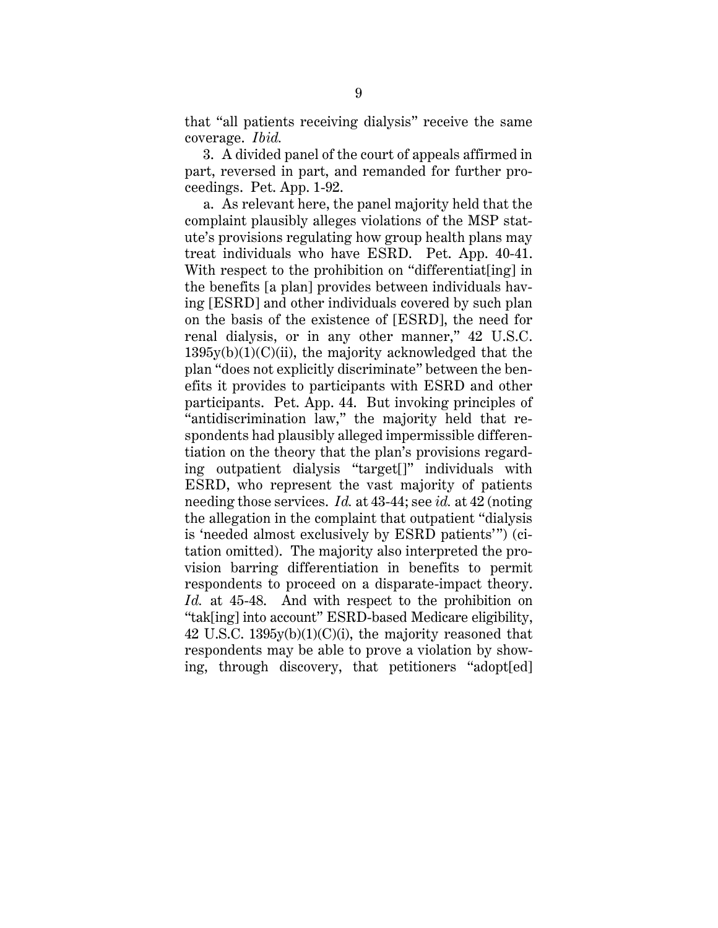that "all patients receiving dialysis" receive the same coverage. *Ibid.*

3. A divided panel of the court of appeals affirmed in part, reversed in part, and remanded for further proceedings. Pet. App. 1-92.

a. As relevant here, the panel majority held that the complaint plausibly alleges violations of the MSP statute's provisions regulating how group health plans may treat individuals who have ESRD. Pet. App. 40-41. With respect to the prohibition on "differentiat[ing] in the benefits [a plan] provides between individuals having [ESRD] and other individuals covered by such plan on the basis of the existence of [ESRD], the need for renal dialysis, or in any other manner," 42 U.S.C.  $1395y(b)(1)(C)(ii)$ , the majority acknowledged that the plan "does not explicitly discriminate" between the benefits it provides to participants with ESRD and other participants. Pet. App. 44. But invoking principles of "antidiscrimination law," the majority held that respondents had plausibly alleged impermissible differentiation on the theory that the plan's provisions regarding outpatient dialysis "target[]" individuals with ESRD, who represent the vast majority of patients needing those services. *Id.* at 43-44; see *id.* at 42 (noting the allegation in the complaint that outpatient "dialysis is 'needed almost exclusively by ESRD patients'") (citation omitted). The majority also interpreted the provision barring differentiation in benefits to permit respondents to proceed on a disparate-impact theory. *Id.* at 45-48. And with respect to the prohibition on "tak[ing] into account" ESRD-based Medicare eligibility, 42 U.S.C.  $1395v(b)(1)(C)(i)$ , the majority reasoned that respondents may be able to prove a violation by showing, through discovery, that petitioners "adopt[ed]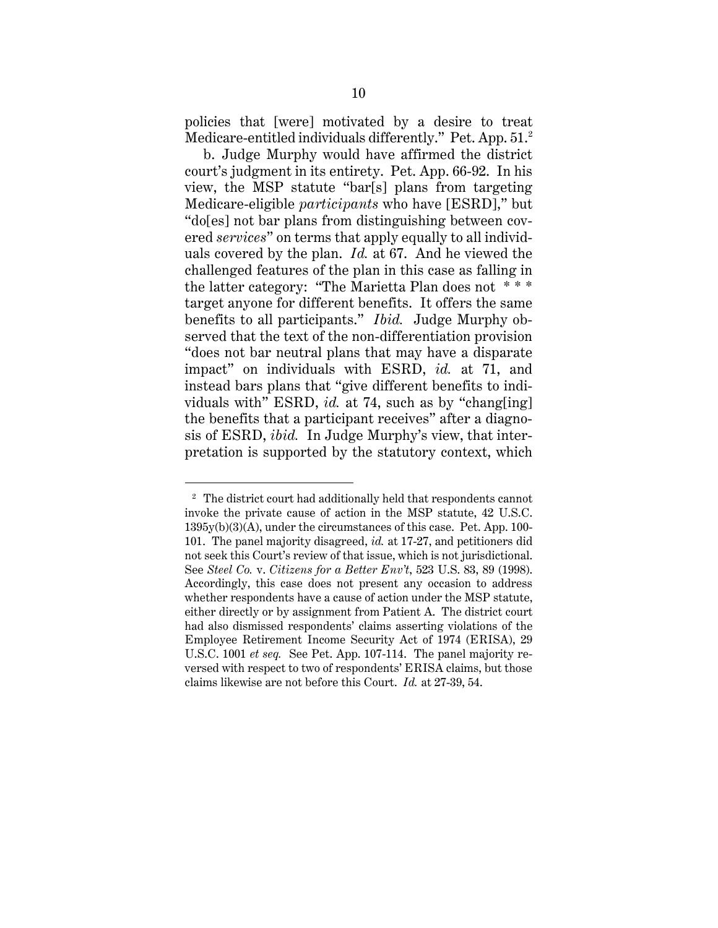policies that [were] motivated by a desire to treat Medicare-entitled individuals differently." Pet. App. 51.<sup>2</sup>

b. Judge Murphy would have affirmed the district court's judgment in its entirety. Pet. App. 66-92. In his view, the MSP statute "bar[s] plans from targeting Medicare-eligible *participants* who have [ESRD]," but "do[es] not bar plans from distinguishing between covered *services*" on terms that apply equally to all individuals covered by the plan. *Id.* at 67. And he viewed the challenged features of the plan in this case as falling in the latter category: "The Marietta Plan does not \* \* \* target anyone for different benefits. It offers the same benefits to all participants." *Ibid.* Judge Murphy observed that the text of the non-differentiation provision "does not bar neutral plans that may have a disparate impact" on individuals with ESRD, *id.* at 71, and instead bars plans that "give different benefits to individuals with" ESRD, *id.* at 74, such as by "chang[ing] the benefits that a participant receives" after a diagnosis of ESRD, *ibid.* In Judge Murphy's view, that interpretation is supported by the statutory context, which

<sup>&</sup>lt;sup>2</sup> The district court had additionally held that respondents cannot invoke the private cause of action in the MSP statute, 42 U.S.C. 1395y(b)(3)(A), under the circumstances of this case. Pet. App. 100- 101. The panel majority disagreed, *id.* at 17-27, and petitioners did not seek this Court's review of that issue, which is not jurisdictional. See *Steel Co.* v. *Citizens for a Better Env't*, 523 U.S. 83, 89 (1998). Accordingly, this case does not present any occasion to address whether respondents have a cause of action under the MSP statute, either directly or by assignment from Patient A. The district court had also dismissed respondents' claims asserting violations of the Employee Retirement Income Security Act of 1974 (ERISA), 29 U.S.C. 1001 *et seq.* See Pet. App. 107-114. The panel majority reversed with respect to two of respondents' ERISA claims, but those claims likewise are not before this Court. *Id.* at 27-39, 54.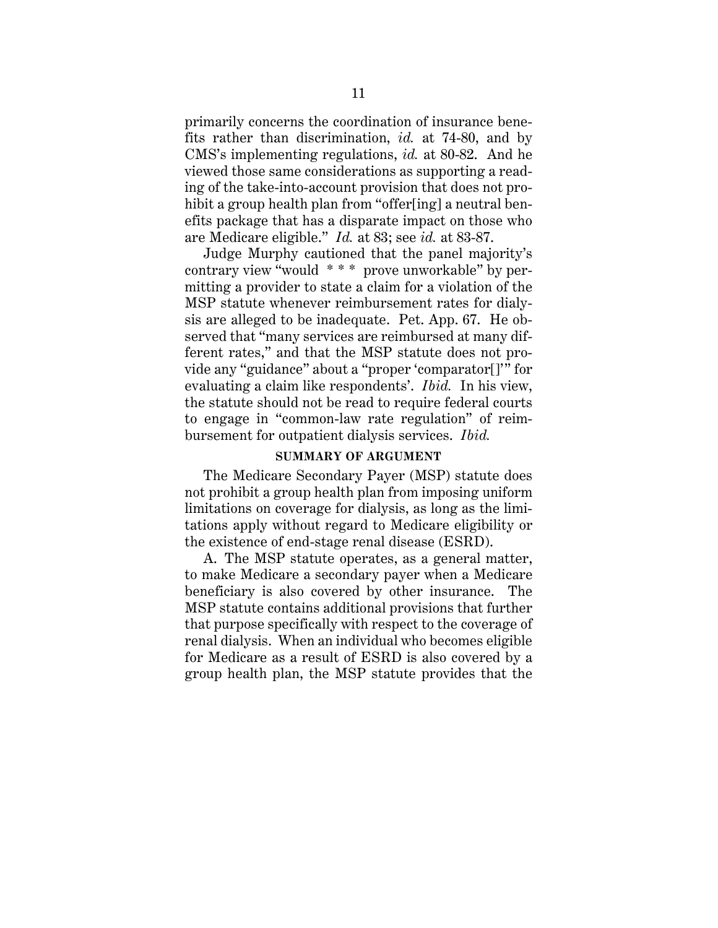primarily concerns the coordination of insurance benefits rather than discrimination, *id.* at 74-80, and by CMS's implementing regulations, *id.* at 80-82. And he viewed those same considerations as supporting a reading of the take-into-account provision that does not prohibit a group health plan from "offer[ing] a neutral benefits package that has a disparate impact on those who are Medicare eligible." *Id.* at 83; see *id.* at 83-87.

Judge Murphy cautioned that the panel majority's contrary view "would \* \* \* prove unworkable" by permitting a provider to state a claim for a violation of the MSP statute whenever reimbursement rates for dialysis are alleged to be inadequate. Pet. App. 67. He observed that "many services are reimbursed at many different rates," and that the MSP statute does not provide any "guidance" about a "proper 'comparator[]'" for evaluating a claim like respondents'. *Ibid.* In his view, the statute should not be read to require federal courts to engage in "common-law rate regulation" of reimbursement for outpatient dialysis services. *Ibid.*

### **SUMMARY OF ARGUMENT**

The Medicare Secondary Payer (MSP) statute does not prohibit a group health plan from imposing uniform limitations on coverage for dialysis, as long as the limitations apply without regard to Medicare eligibility or the existence of end-stage renal disease (ESRD).

A. The MSP statute operates, as a general matter, to make Medicare a secondary payer when a Medicare beneficiary is also covered by other insurance. The MSP statute contains additional provisions that further that purpose specifically with respect to the coverage of renal dialysis. When an individual who becomes eligible for Medicare as a result of ESRD is also covered by a group health plan, the MSP statute provides that the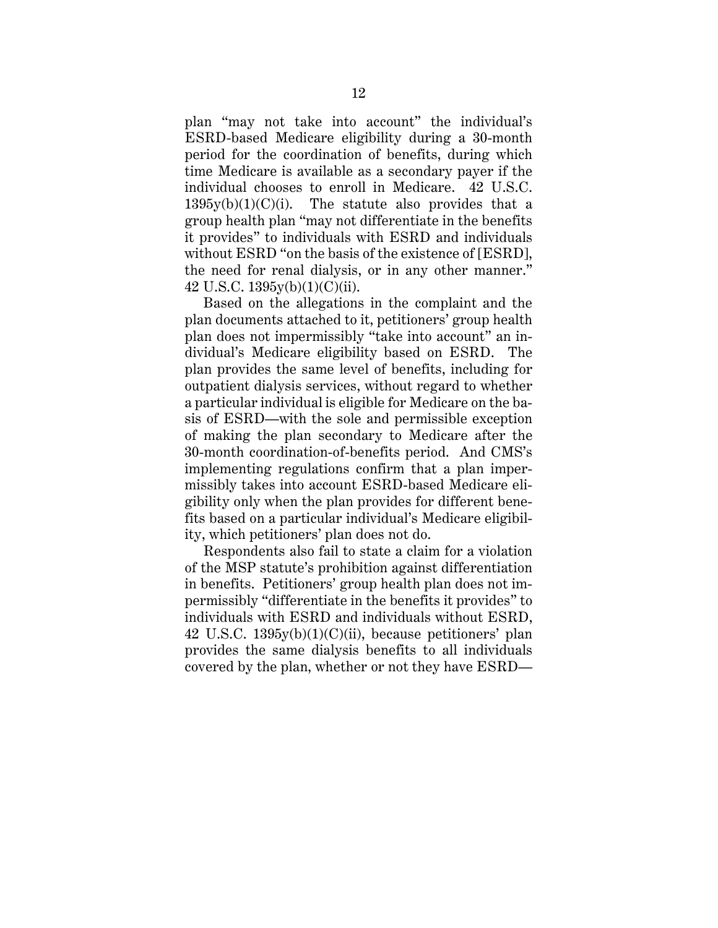plan "may not take into account" the individual's ESRD-based Medicare eligibility during a 30-month period for the coordination of benefits, during which time Medicare is available as a secondary payer if the individual chooses to enroll in Medicare. 42 U.S.C.  $1395y(b)(1)(C)(i)$ . The statute also provides that a group health plan "may not differentiate in the benefits it provides" to individuals with ESRD and individuals without ESRD "on the basis of the existence of [ESRD], the need for renal dialysis, or in any other manner." 42 U.S.C. 1395y(b)(1)(C)(ii).

Based on the allegations in the complaint and the plan documents attached to it, petitioners' group health plan does not impermissibly "take into account" an individual's Medicare eligibility based on ESRD. The plan provides the same level of benefits, including for outpatient dialysis services, without regard to whether a particular individual is eligible for Medicare on the basis of ESRD—with the sole and permissible exception of making the plan secondary to Medicare after the 30-month coordination-of-benefits period. And CMS's implementing regulations confirm that a plan impermissibly takes into account ESRD-based Medicare eligibility only when the plan provides for different benefits based on a particular individual's Medicare eligibility, which petitioners' plan does not do.

Respondents also fail to state a claim for a violation of the MSP statute's prohibition against differentiation in benefits. Petitioners' group health plan does not impermissibly "differentiate in the benefits it provides" to individuals with ESRD and individuals without ESRD, 42 U.S.C. 1395y(b)(1)(C)(ii), because petitioners' plan provides the same dialysis benefits to all individuals covered by the plan, whether or not they have ESRD—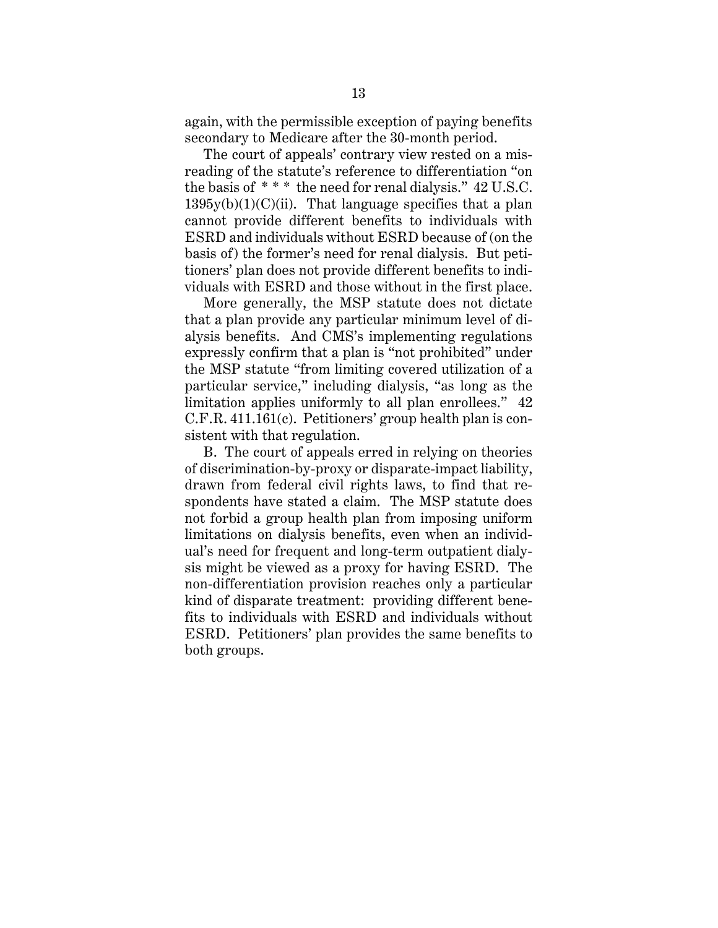again, with the permissible exception of paying benefits secondary to Medicare after the 30-month period.

The court of appeals' contrary view rested on a misreading of the statute's reference to differentiation "on the basis of \* \* \* the need for renal dialysis." 42 U.S.C.  $1395y(b)(1)(C)(ii)$ . That language specifies that a plan cannot provide different benefits to individuals with ESRD and individuals without ESRD because of (on the basis of) the former's need for renal dialysis. But petitioners' plan does not provide different benefits to individuals with ESRD and those without in the first place.

More generally, the MSP statute does not dictate that a plan provide any particular minimum level of dialysis benefits. And CMS's implementing regulations expressly confirm that a plan is "not prohibited" under the MSP statute "from limiting covered utilization of a particular service," including dialysis, "as long as the limitation applies uniformly to all plan enrollees." 42 C.F.R. 411.161(c). Petitioners' group health plan is consistent with that regulation.

B. The court of appeals erred in relying on theories of discrimination-by-proxy or disparate-impact liability, drawn from federal civil rights laws, to find that respondents have stated a claim. The MSP statute does not forbid a group health plan from imposing uniform limitations on dialysis benefits, even when an individual's need for frequent and long-term outpatient dialysis might be viewed as a proxy for having ESRD. The non-differentiation provision reaches only a particular kind of disparate treatment: providing different benefits to individuals with ESRD and individuals without ESRD. Petitioners' plan provides the same benefits to both groups.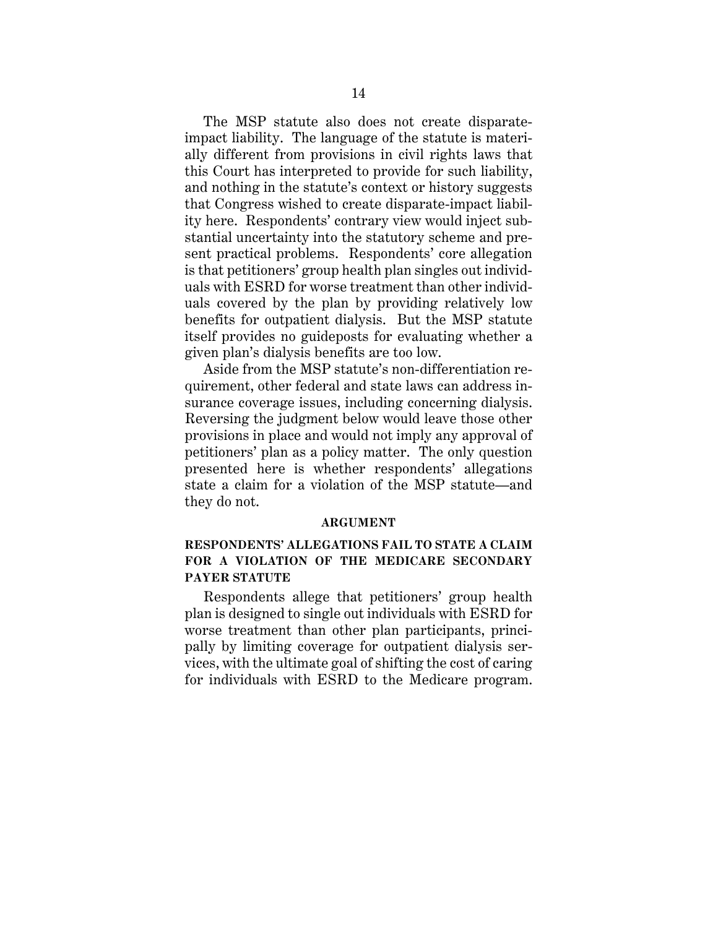The MSP statute also does not create disparateimpact liability. The language of the statute is materially different from provisions in civil rights laws that this Court has interpreted to provide for such liability, and nothing in the statute's context or history suggests that Congress wished to create disparate-impact liability here. Respondents' contrary view would inject substantial uncertainty into the statutory scheme and present practical problems. Respondents' core allegation is that petitioners' group health plan singles out individuals with ESRD for worse treatment than other individuals covered by the plan by providing relatively low benefits for outpatient dialysis. But the MSP statute itself provides no guideposts for evaluating whether a given plan's dialysis benefits are too low.

Aside from the MSP statute's non-differentiation requirement, other federal and state laws can address insurance coverage issues, including concerning dialysis. Reversing the judgment below would leave those other provisions in place and would not imply any approval of petitioners' plan as a policy matter. The only question presented here is whether respondents' allegations state a claim for a violation of the MSP statute—and they do not.

#### **ARGUMENT**

## **RESPONDENTS' ALLEGATIONS FAIL TO STATE A CLAIM FOR A VIOLATION OF THE MEDICARE SECONDARY PAYER STATUTE**

Respondents allege that petitioners' group health plan is designed to single out individuals with ESRD for worse treatment than other plan participants, principally by limiting coverage for outpatient dialysis services, with the ultimate goal of shifting the cost of caring for individuals with ESRD to the Medicare program.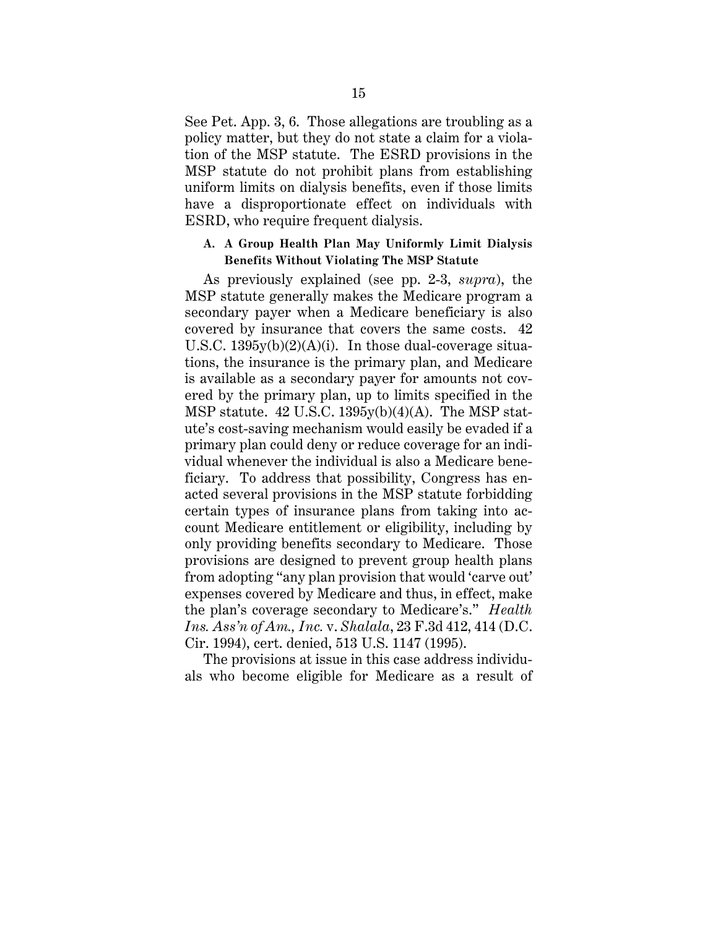See Pet. App. 3, 6. Those allegations are troubling as a policy matter, but they do not state a claim for a violation of the MSP statute. The ESRD provisions in the MSP statute do not prohibit plans from establishing uniform limits on dialysis benefits, even if those limits have a disproportionate effect on individuals with ESRD, who require frequent dialysis.

## **A. A Group Health Plan May Uniformly Limit Dialysis Benefits Without Violating The MSP Statute**

As previously explained (see pp. 2-3, *supra*), the MSP statute generally makes the Medicare program a secondary payer when a Medicare beneficiary is also covered by insurance that covers the same costs. 42 U.S.C. 1395y(b)(2)(A)(i). In those dual-coverage situations, the insurance is the primary plan, and Medicare is available as a secondary payer for amounts not covered by the primary plan, up to limits specified in the MSP statute. 42 U.S.C. 1395y(b)(4)(A). The MSP statute's cost-saving mechanism would easily be evaded if a primary plan could deny or reduce coverage for an individual whenever the individual is also a Medicare beneficiary. To address that possibility, Congress has enacted several provisions in the MSP statute forbidding certain types of insurance plans from taking into account Medicare entitlement or eligibility, including by only providing benefits secondary to Medicare. Those provisions are designed to prevent group health plans from adopting "any plan provision that would 'carve out' expenses covered by Medicare and thus, in effect, make the plan's coverage secondary to Medicare's." *Health Ins. Ass'n of Am., Inc.* v. *Shalala*, 23 F.3d 412, 414 (D.C. Cir. 1994), cert. denied, 513 U.S. 1147 (1995).

The provisions at issue in this case address individuals who become eligible for Medicare as a result of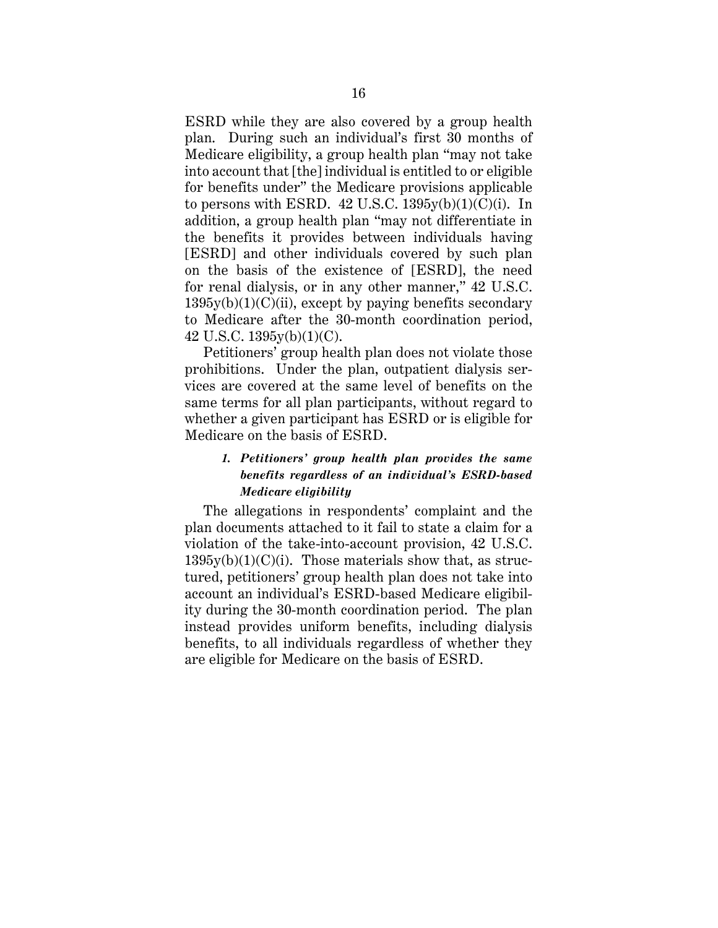ESRD while they are also covered by a group health plan. During such an individual's first 30 months of Medicare eligibility, a group health plan "may not take into account that [the] individual is entitled to or eligible for benefits under" the Medicare provisions applicable to persons with ESRD.  $42$  U.S.C.  $1395y(b)(1)(C)(i)$ . In addition, a group health plan "may not differentiate in the benefits it provides between individuals having [ESRD] and other individuals covered by such plan on the basis of the existence of [ESRD], the need for renal dialysis, or in any other manner," 42 U.S.C.  $1395y(b)(1)(C)(ii)$ , except by paying benefits secondary to Medicare after the 30-month coordination period, 42 U.S.C. 1395y(b)(1)(C).

Petitioners' group health plan does not violate those prohibitions. Under the plan, outpatient dialysis services are covered at the same level of benefits on the same terms for all plan participants, without regard to whether a given participant has ESRD or is eligible for Medicare on the basis of ESRD.

## *1. Petitioners' group health plan provides the same benefits regardless of an individual's ESRD-based Medicare eligibility*

The allegations in respondents' complaint and the plan documents attached to it fail to state a claim for a violation of the take-into-account provision, 42 U.S.C.  $1395y(b)(1)(C)(i)$ . Those materials show that, as structured, petitioners' group health plan does not take into account an individual's ESRD-based Medicare eligibility during the 30-month coordination period. The plan instead provides uniform benefits, including dialysis benefits, to all individuals regardless of whether they are eligible for Medicare on the basis of ESRD.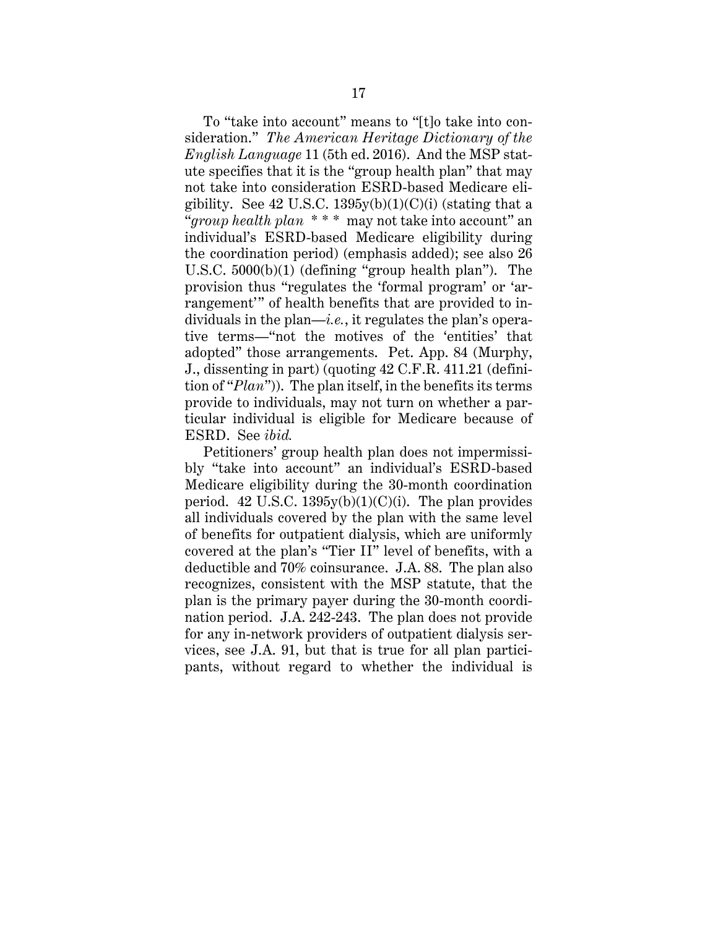To "take into account" means to "[t]o take into consideration." *The American Heritage Dictionary of the English Language* 11 (5th ed. 2016). And the MSP statute specifies that it is the "group health plan" that may not take into consideration ESRD-based Medicare eligibility. See  $42$  U.S.C.  $1395y(b)(1)(C)(i)$  (stating that a "*group health plan* \* \* \* may not take into account" an individual's ESRD-based Medicare eligibility during the coordination period) (emphasis added); see also 26 U.S.C. 5000(b)(1) (defining "group health plan"). The provision thus "regulates the 'formal program' or 'arrangement'" of health benefits that are provided to individuals in the plan—*i.e.*, it regulates the plan's operative terms—"not the motives of the 'entities' that adopted" those arrangements. Pet. App. 84 (Murphy, J., dissenting in part) (quoting 42 C.F.R. 411.21 (definition of "*Plan*")). The plan itself, in the benefits its terms provide to individuals, may not turn on whether a particular individual is eligible for Medicare because of ESRD. See *ibid.*

Petitioners' group health plan does not impermissibly "take into account" an individual's ESRD-based Medicare eligibility during the 30-month coordination period. 42 U.S.C.  $1395y(b)(1)(C)(i)$ . The plan provides all individuals covered by the plan with the same level of benefits for outpatient dialysis, which are uniformly covered at the plan's "Tier II" level of benefits, with a deductible and 70% coinsurance. J.A. 88. The plan also recognizes, consistent with the MSP statute, that the plan is the primary payer during the 30-month coordination period. J.A. 242-243. The plan does not provide for any in-network providers of outpatient dialysis services, see J.A. 91, but that is true for all plan participants, without regard to whether the individual is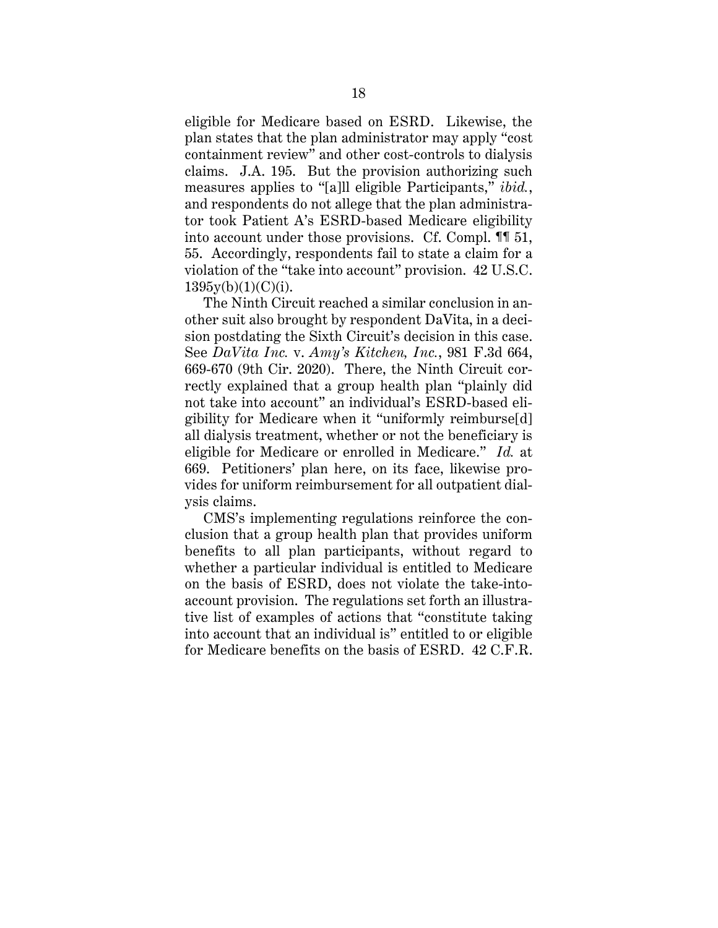eligible for Medicare based on ESRD. Likewise, the plan states that the plan administrator may apply "cost containment review" and other cost-controls to dialysis claims. J.A. 195. But the provision authorizing such measures applies to "[a]ll eligible Participants," *ibid.*, and respondents do not allege that the plan administrator took Patient A's ESRD-based Medicare eligibility into account under those provisions. Cf. Compl. ¶¶ 51, 55. Accordingly, respondents fail to state a claim for a violation of the "take into account" provision. 42 U.S.C.  $1395y(b)(1)(C)(i)$ .

The Ninth Circuit reached a similar conclusion in another suit also brought by respondent DaVita, in a decision postdating the Sixth Circuit's decision in this case. See *DaVita Inc.* v. *Amy's Kitchen, Inc.*, 981 F.3d 664, 669-670 (9th Cir. 2020). There, the Ninth Circuit correctly explained that a group health plan "plainly did not take into account" an individual's ESRD-based eligibility for Medicare when it "uniformly reimburse[d] all dialysis treatment, whether or not the beneficiary is eligible for Medicare or enrolled in Medicare." *Id.* at 669. Petitioners' plan here, on its face, likewise provides for uniform reimbursement for all outpatient dialysis claims.

CMS's implementing regulations reinforce the conclusion that a group health plan that provides uniform benefits to all plan participants, without regard to whether a particular individual is entitled to Medicare on the basis of ESRD, does not violate the take-intoaccount provision. The regulations set forth an illustrative list of examples of actions that "constitute taking into account that an individual is" entitled to or eligible for Medicare benefits on the basis of ESRD. 42 C.F.R.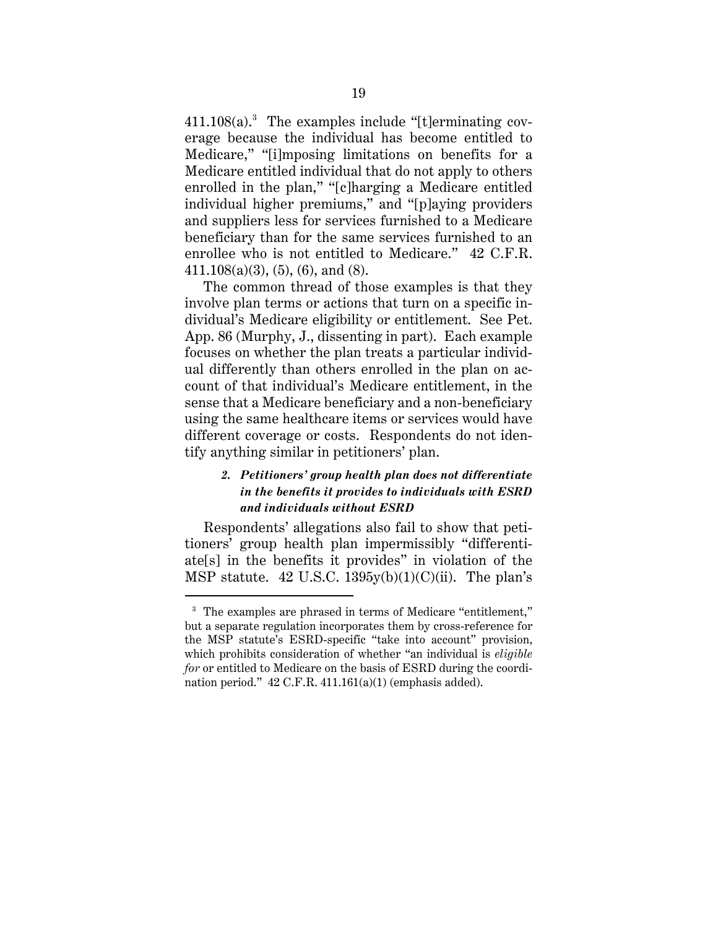411.108(a). 3 The examples include "[t]erminating coverage because the individual has become entitled to Medicare," "[i]mposing limitations on benefits for a Medicare entitled individual that do not apply to others enrolled in the plan," "[c]harging a Medicare entitled individual higher premiums," and "[p]aying providers and suppliers less for services furnished to a Medicare beneficiary than for the same services furnished to an enrollee who is not entitled to Medicare." 42 C.F.R.  $411.108(a)(3), (5), (6), and (8).$ 

The common thread of those examples is that they involve plan terms or actions that turn on a specific individual's Medicare eligibility or entitlement. See Pet. App. 86 (Murphy, J., dissenting in part). Each example focuses on whether the plan treats a particular individual differently than others enrolled in the plan on account of that individual's Medicare entitlement, in the sense that a Medicare beneficiary and a non-beneficiary using the same healthcare items or services would have different coverage or costs. Respondents do not identify anything similar in petitioners' plan.

## *2. Petitioners' group health plan does not differentiate in the benefits it provides to individuals with ESRD and individuals without ESRD*

Respondents' allegations also fail to show that petitioners' group health plan impermissibly "differentiate[s] in the benefits it provides" in violation of the MSP statute. 42 U.S.C.  $1395y(b)(1)(C)(ii)$ . The plan's

<sup>&</sup>lt;sup>3</sup> The examples are phrased in terms of Medicare "entitlement," but a separate regulation incorporates them by cross-reference for the MSP statute's ESRD-specific "take into account" provision, which prohibits consideration of whether "an individual is *eligible for* or entitled to Medicare on the basis of ESRD during the coordination period." 42 C.F.R. 411.161(a)(1) (emphasis added).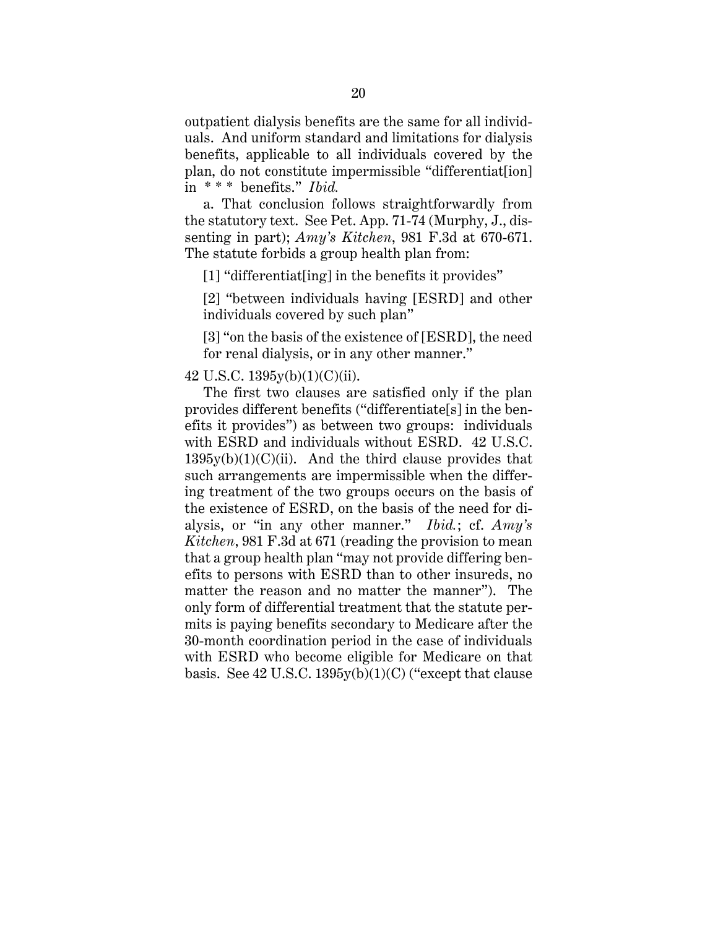outpatient dialysis benefits are the same for all individuals. And uniform standard and limitations for dialysis benefits, applicable to all individuals covered by the plan, do not constitute impermissible "differentiat[ion] in \* \* \* benefits." *Ibid.*

a. That conclusion follows straightforwardly from the statutory text. See Pet. App. 71-74 (Murphy, J., dissenting in part); *Amy's Kitchen*, 981 F.3d at 670-671. The statute forbids a group health plan from:

[1] "differentiat[ing] in the benefits it provides"

[2] "between individuals having [ESRD] and other individuals covered by such plan"

[3] "on the basis of the existence of [ESRD], the need for renal dialysis, or in any other manner."

### 42 U.S.C. 1395y(b)(1)(C)(ii).

The first two clauses are satisfied only if the plan provides different benefits ("differentiate[s] in the benefits it provides") as between two groups: individuals with ESRD and individuals without ESRD. 42 U.S.C.  $1395y(b)(1)(C)(ii)$ . And the third clause provides that such arrangements are impermissible when the differing treatment of the two groups occurs on the basis of the existence of ESRD, on the basis of the need for dialysis, or "in any other manner." *Ibid.*; cf. *Amy's Kitchen*, 981 F.3d at 671 (reading the provision to mean that a group health plan "may not provide differing benefits to persons with ESRD than to other insureds, no matter the reason and no matter the manner"). The only form of differential treatment that the statute permits is paying benefits secondary to Medicare after the 30-month coordination period in the case of individuals with ESRD who become eligible for Medicare on that basis. See  $42$  U.S.C.  $1395y(b)(1)(C)$  ("except that clause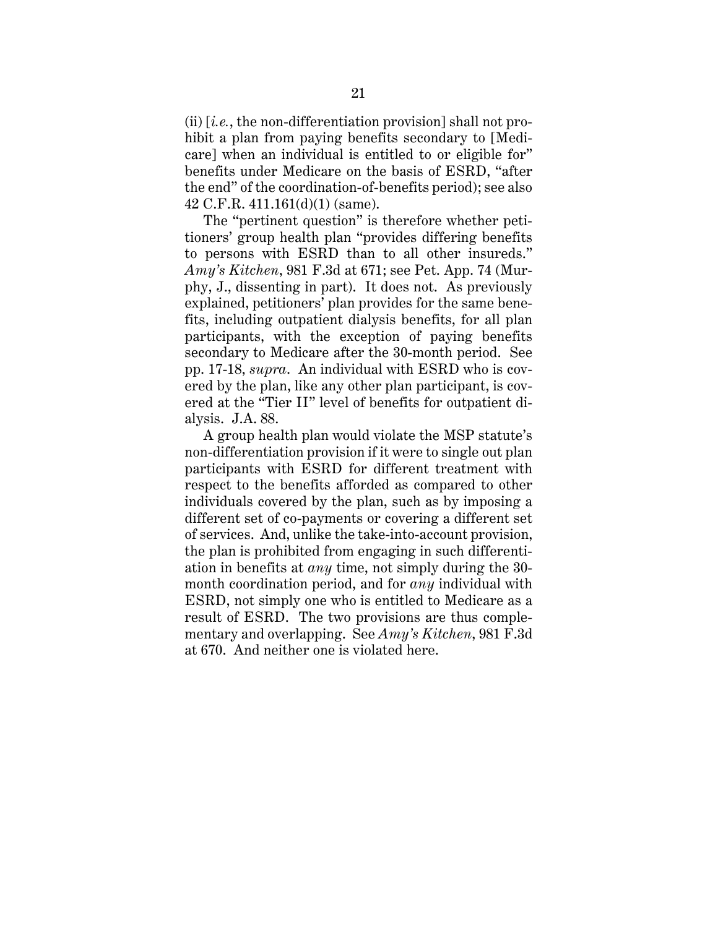(ii) [*i.e.*, the non-differentiation provision] shall not prohibit a plan from paying benefits secondary to [Medicare] when an individual is entitled to or eligible for" benefits under Medicare on the basis of ESRD, "after the end" of the coordination-of-benefits period); see also 42 C.F.R. 411.161(d)(1) (same).

The "pertinent question" is therefore whether petitioners' group health plan "provides differing benefits to persons with ESRD than to all other insureds." *Amy's Kitchen*, 981 F.3d at 671; see Pet. App. 74 (Murphy, J., dissenting in part). It does not. As previously explained, petitioners' plan provides for the same benefits, including outpatient dialysis benefits, for all plan participants, with the exception of paying benefits secondary to Medicare after the 30-month period. See pp. 17-18, *supra*. An individual with ESRD who is covered by the plan, like any other plan participant, is covered at the "Tier II" level of benefits for outpatient dialysis. J.A. 88.

A group health plan would violate the MSP statute's non-differentiation provision if it were to single out plan participants with ESRD for different treatment with respect to the benefits afforded as compared to other individuals covered by the plan, such as by imposing a different set of co-payments or covering a different set of services. And, unlike the take-into-account provision, the plan is prohibited from engaging in such differentiation in benefits at *any* time, not simply during the 30 month coordination period, and for *any* individual with ESRD, not simply one who is entitled to Medicare as a result of ESRD. The two provisions are thus complementary and overlapping. See *Amy's Kitchen*, 981 F.3d at 670. And neither one is violated here.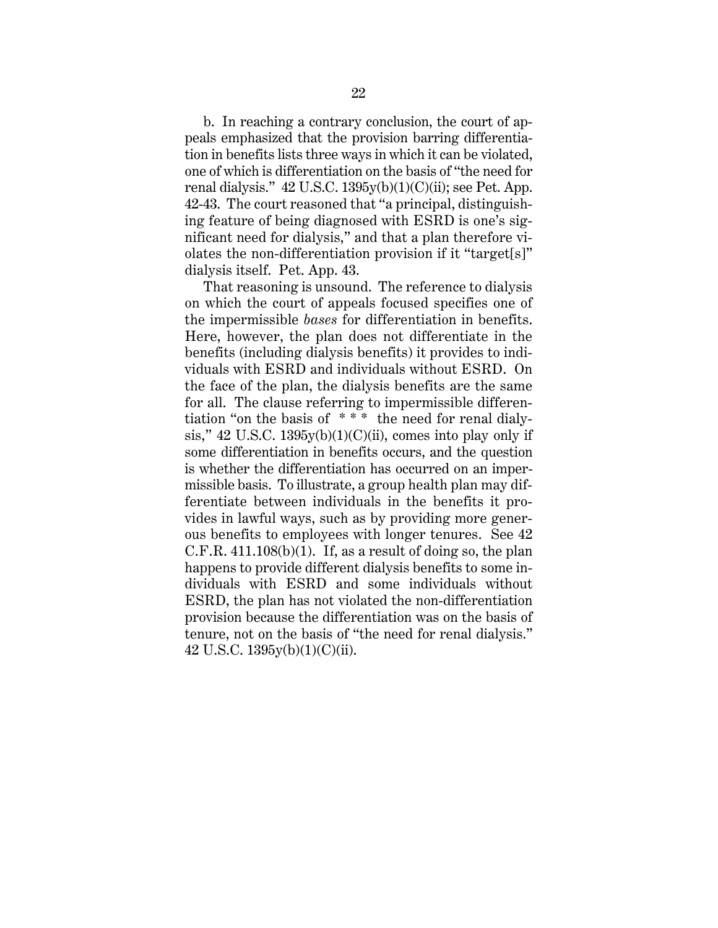b. In reaching a contrary conclusion, the court of appeals emphasized that the provision barring differentiation in benefits lists three ways in which it can be violated, one of which is differentiation on the basis of "the need for renal dialysis."  $42 \text{ U.S.C. } 1395 \text{y(b)}(1)(\text{C)}$ (ii); see Pet. App. 42-43. The court reasoned that "a principal, distinguishing feature of being diagnosed with ESRD is one's significant need for dialysis," and that a plan therefore violates the non-differentiation provision if it "target[s]" dialysis itself. Pet. App. 43.

That reasoning is unsound. The reference to dialysis on which the court of appeals focused specifies one of the impermissible *bases* for differentiation in benefits. Here, however, the plan does not differentiate in the benefits (including dialysis benefits) it provides to individuals with ESRD and individuals without ESRD. On the face of the plan, the dialysis benefits are the same for all. The clause referring to impermissible differentiation "on the basis of \* \* \* the need for renal dialysis," 42 U.S.C. 1395y(b)(1)(C)(ii), comes into play only if some differentiation in benefits occurs, and the question is whether the differentiation has occurred on an impermissible basis. To illustrate, a group health plan may differentiate between individuals in the benefits it provides in lawful ways, such as by providing more generous benefits to employees with longer tenures. See 42 C.F.R.  $411.108(b)(1)$ . If, as a result of doing so, the plan happens to provide different dialysis benefits to some individuals with ESRD and some individuals without ESRD, the plan has not violated the non-differentiation provision because the differentiation was on the basis of tenure, not on the basis of "the need for renal dialysis." 42 U.S.C. 1395y(b)(1)(C)(ii).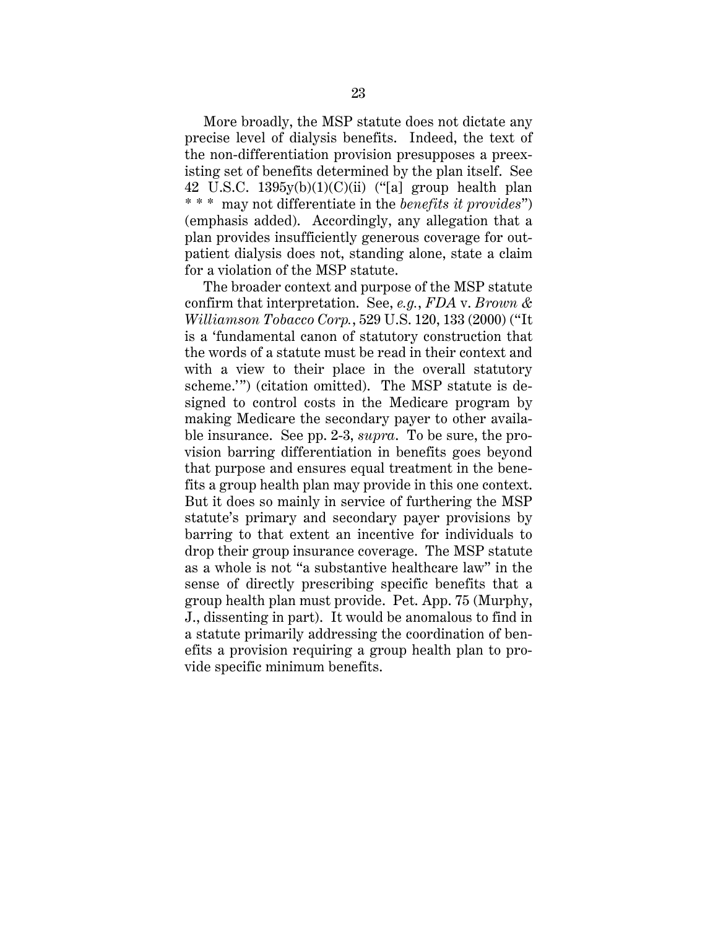More broadly, the MSP statute does not dictate any precise level of dialysis benefits. Indeed, the text of the non-differentiation provision presupposes a preexisting set of benefits determined by the plan itself. See 42 U.S.C.  $1395y(b)(1)(C)(ii)$  ("[a] group health plan \* \* \* may not differentiate in the *benefits it provides*") (emphasis added). Accordingly, any allegation that a plan provides insufficiently generous coverage for outpatient dialysis does not, standing alone, state a claim for a violation of the MSP statute.

The broader context and purpose of the MSP statute confirm that interpretation. See, *e.g.*, *FDA* v. *Brown & Williamson Tobacco Corp.*, 529 U.S. 120, 133 (2000) ("It is a 'fundamental canon of statutory construction that the words of a statute must be read in their context and with a view to their place in the overall statutory scheme.'") (citation omitted). The MSP statute is designed to control costs in the Medicare program by making Medicare the secondary payer to other available insurance. See pp. 2-3, *supra*. To be sure, the provision barring differentiation in benefits goes beyond that purpose and ensures equal treatment in the benefits a group health plan may provide in this one context. But it does so mainly in service of furthering the MSP statute's primary and secondary payer provisions by barring to that extent an incentive for individuals to drop their group insurance coverage. The MSP statute as a whole is not "a substantive healthcare law" in the sense of directly prescribing specific benefits that a group health plan must provide. Pet. App. 75 (Murphy, J., dissenting in part). It would be anomalous to find in a statute primarily addressing the coordination of benefits a provision requiring a group health plan to provide specific minimum benefits.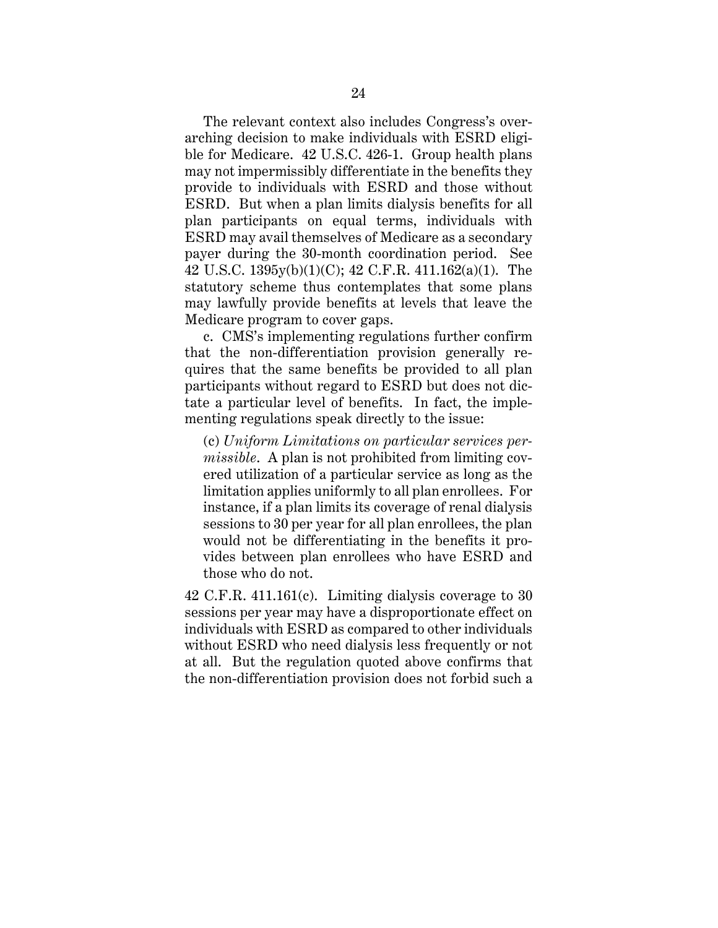The relevant context also includes Congress's overarching decision to make individuals with ESRD eligible for Medicare. 42 U.S.C. 426-1. Group health plans may not impermissibly differentiate in the benefits they provide to individuals with ESRD and those without ESRD. But when a plan limits dialysis benefits for all plan participants on equal terms, individuals with ESRD may avail themselves of Medicare as a secondary payer during the 30-month coordination period. See 42 U.S.C. 1395y(b)(1)(C); 42 C.F.R. 411.162(a)(1). The statutory scheme thus contemplates that some plans may lawfully provide benefits at levels that leave the Medicare program to cover gaps.

c. CMS's implementing regulations further confirm that the non-differentiation provision generally requires that the same benefits be provided to all plan participants without regard to ESRD but does not dictate a particular level of benefits. In fact, the implementing regulations speak directly to the issue:

(c) *Uniform Limitations on particular services permissible*. A plan is not prohibited from limiting covered utilization of a particular service as long as the limitation applies uniformly to all plan enrollees. For instance, if a plan limits its coverage of renal dialysis sessions to 30 per year for all plan enrollees, the plan would not be differentiating in the benefits it provides between plan enrollees who have ESRD and those who do not.

42 C.F.R. 411.161(c). Limiting dialysis coverage to 30 sessions per year may have a disproportionate effect on individuals with ESRD as compared to other individuals without ESRD who need dialysis less frequently or not at all. But the regulation quoted above confirms that the non-differentiation provision does not forbid such a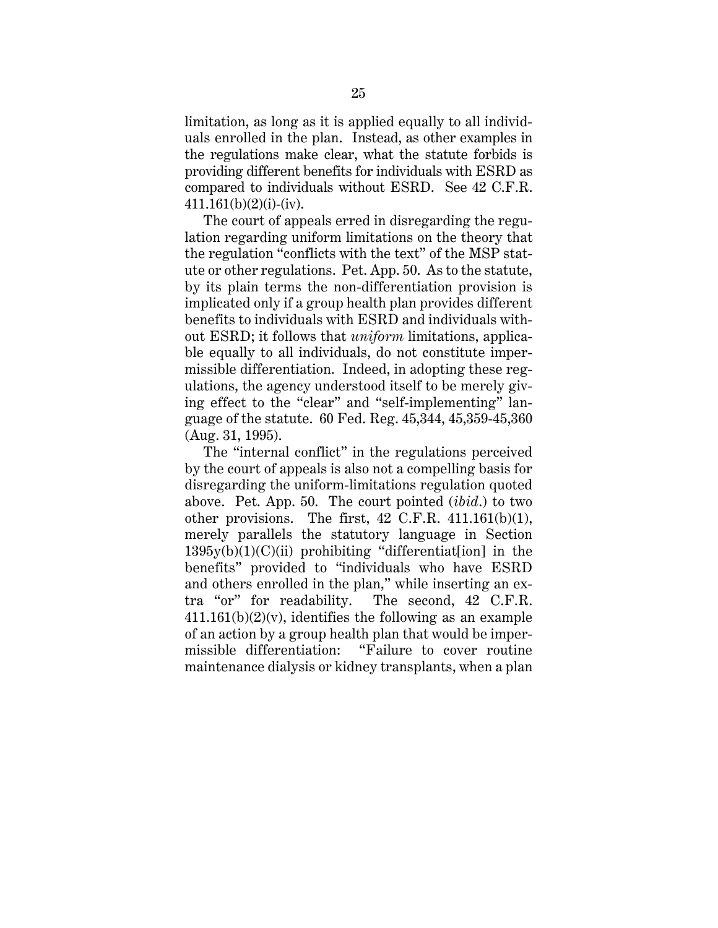limitation, as long as it is applied equally to all individuals enrolled in the plan. Instead, as other examples in the regulations make clear, what the statute forbids is providing different benefits for individuals with ESRD as compared to individuals without ESRD. See 42 C.F.R.  $411.161(b)(2)(i)-(iv).$ 

The court of appeals erred in disregarding the regulation regarding uniform limitations on the theory that the regulation "conflicts with the text" of the MSP statute or other regulations. Pet. App. 50. As to the statute, by its plain terms the non-differentiation provision is implicated only if a group health plan provides different benefits to individuals with ESRD and individuals without ESRD; it follows that *uniform* limitations, applicable equally to all individuals, do not constitute impermissible differentiation. Indeed, in adopting these regulations, the agency understood itself to be merely giving effect to the "clear" and "self-implementing" language of the statute. 60 Fed. Reg. 45,344, 45,359-45,360 (Aug. 31, 1995).

The "internal conflict" in the regulations perceived by the court of appeals is also not a compelling basis for disregarding the uniform-limitations regulation quoted above. Pet. App. 50. The court pointed (*ibid*.) to two other provisions. The first,  $42$  C.F.R.  $411.161(b)(1)$ , merely parallels the statutory language in Section  $1395y(b)(1)(C)(ii)$  prohibiting "differentiate lion] in the benefits" provided to "individuals who have ESRD and others enrolled in the plan," while inserting an extra "or" for readability. The second, 42 C.F.R.  $411.161(b)(2)(v)$ , identifies the following as an example of an action by a group health plan that would be impermissible differentiation: "Failure to cover routine maintenance dialysis or kidney transplants, when a plan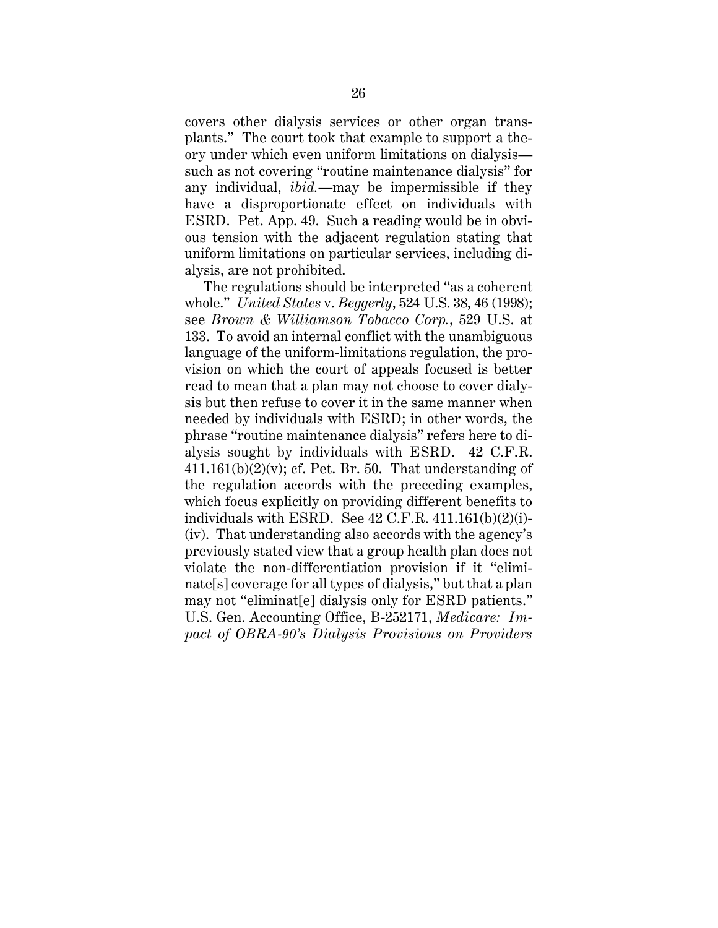covers other dialysis services or other organ transplants." The court took that example to support a theory under which even uniform limitations on dialysis such as not covering "routine maintenance dialysis" for any individual, *ibid.*—may be impermissible if they have a disproportionate effect on individuals with ESRD. Pet. App. 49. Such a reading would be in obvious tension with the adjacent regulation stating that uniform limitations on particular services, including dialysis, are not prohibited.

The regulations should be interpreted "as a coherent whole." *United States* v. *Beggerly*, 524 U.S. 38, 46 (1998); see *Brown & Williamson Tobacco Corp.*, 529 U.S. at 133. To avoid an internal conflict with the unambiguous language of the uniform-limitations regulation, the provision on which the court of appeals focused is better read to mean that a plan may not choose to cover dialysis but then refuse to cover it in the same manner when needed by individuals with ESRD; in other words, the phrase "routine maintenance dialysis" refers here to dialysis sought by individuals with ESRD. 42 C.F.R.  $411.161(b)(2)(v)$ ; cf. Pet. Br. 50. That understanding of the regulation accords with the preceding examples, which focus explicitly on providing different benefits to individuals with ESRD. See  $42$  C.F.R.  $411.161(b)(2)(i)$ -(iv). That understanding also accords with the agency's previously stated view that a group health plan does not violate the non-differentiation provision if it "eliminate[s] coverage for all types of dialysis," but that a plan may not "eliminat[e] dialysis only for ESRD patients." U.S. Gen. Accounting Office, B-252171, *Medicare: Impact of OBRA-90's Dialysis Provisions on Providers*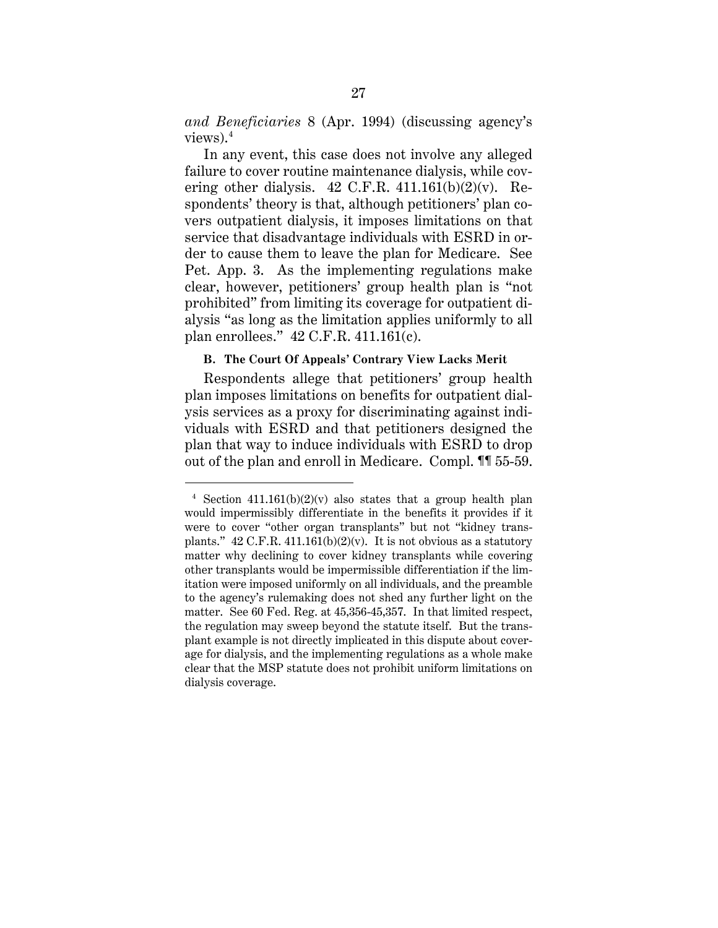*and Beneficiaries* 8 (Apr. 1994) (discussing agency's views). $4$ 

In any event, this case does not involve any alleged failure to cover routine maintenance dialysis, while covering other dialysis.  $42$  C.F.R.  $411.161(b)(2)(v)$ . Respondents' theory is that, although petitioners' plan covers outpatient dialysis, it imposes limitations on that service that disadvantage individuals with ESRD in order to cause them to leave the plan for Medicare. See Pet. App. 3. As the implementing regulations make clear, however, petitioners' group health plan is "not prohibited" from limiting its coverage for outpatient dialysis "as long as the limitation applies uniformly to all plan enrollees." 42 C.F.R. 411.161(c).

### **B. The Court Of Appeals' Contrary View Lacks Merit**

Respondents allege that petitioners' group health plan imposes limitations on benefits for outpatient dialysis services as a proxy for discriminating against individuals with ESRD and that petitioners designed the plan that way to induce individuals with ESRD to drop out of the plan and enroll in Medicare. Compl. ¶¶ 55-59.

<sup>&</sup>lt;sup>4</sup> Section  $411.161(b)(2)(v)$  also states that a group health plan would impermissibly differentiate in the benefits it provides if it were to cover "other organ transplants" but not "kidney transplants."  $42 \text{ C.F.R. } 411.161(b)(2)(v)$ . It is not obvious as a statutory matter why declining to cover kidney transplants while covering other transplants would be impermissible differentiation if the limitation were imposed uniformly on all individuals, and the preamble to the agency's rulemaking does not shed any further light on the matter. See 60 Fed. Reg. at 45,356-45,357. In that limited respect, the regulation may sweep beyond the statute itself. But the transplant example is not directly implicated in this dispute about coverage for dialysis, and the implementing regulations as a whole make clear that the MSP statute does not prohibit uniform limitations on dialysis coverage.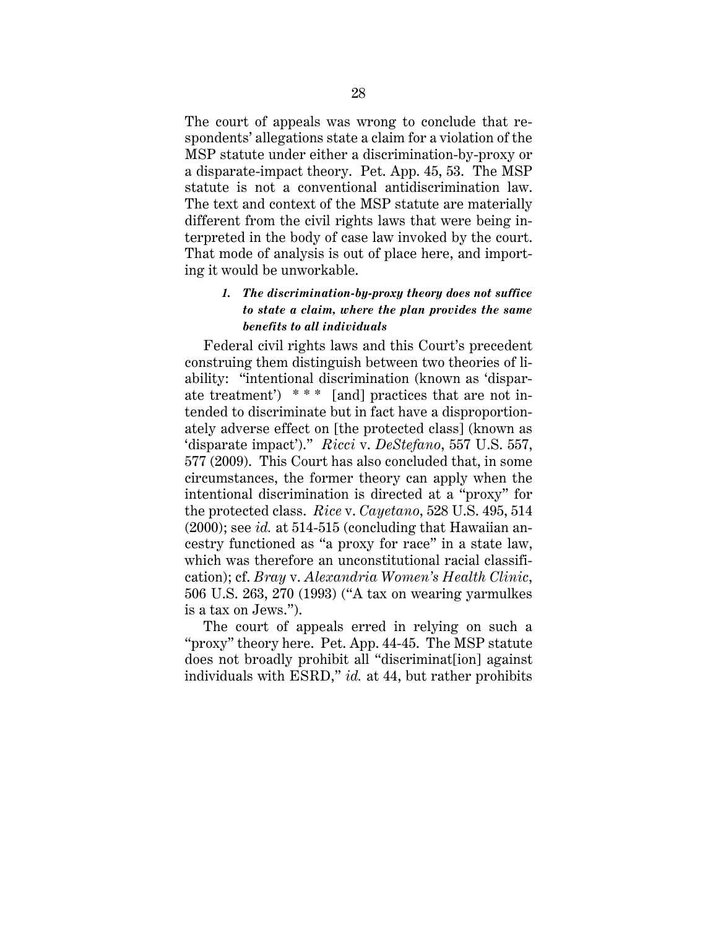The court of appeals was wrong to conclude that respondents' allegations state a claim for a violation of the MSP statute under either a discrimination-by-proxy or a disparate-impact theory. Pet. App. 45, 53. The MSP statute is not a conventional antidiscrimination law. The text and context of the MSP statute are materially different from the civil rights laws that were being interpreted in the body of case law invoked by the court. That mode of analysis is out of place here, and importing it would be unworkable.

## *1. The discrimination-by-proxy theory does not suffice to state a claim, where the plan provides the same benefits to all individuals*

Federal civil rights laws and this Court's precedent construing them distinguish between two theories of liability: "intentional discrimination (known as 'disparate treatment') \* \* \* [and] practices that are not intended to discriminate but in fact have a disproportionately adverse effect on [the protected class] (known as 'disparate impact')." *Ricci* v. *DeStefano*, 557 U.S. 557, 577 (2009). This Court has also concluded that, in some circumstances, the former theory can apply when the intentional discrimination is directed at a "proxy" for the protected class. *Rice* v. *Cayetano*, 528 U.S. 495, 514  $(2000)$ ; see *id.* at 514-515 (concluding that Hawaiian ancestry functioned as "a proxy for race" in a state law, which was therefore an unconstitutional racial classification); cf. *Bray* v. *Alexandria Women's Health Clinic*, 506 U.S. 263, 270 (1993) ("A tax on wearing yarmulkes is a tax on Jews.").

The court of appeals erred in relying on such a "proxy" theory here. Pet. App. 44-45. The MSP statute does not broadly prohibit all "discriminat[ion] against individuals with ESRD," *id.* at 44, but rather prohibits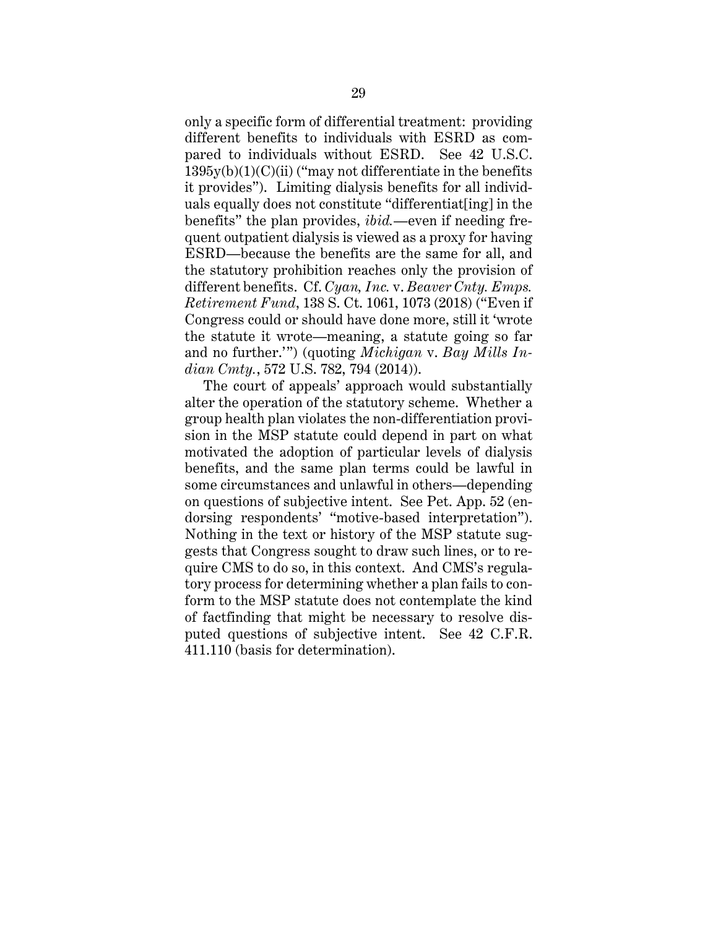only a specific form of differential treatment: providing different benefits to individuals with ESRD as compared to individuals without ESRD. See 42 U.S.C.  $1395y(b)(1)(C)(ii)$  ("may not differentiate in the benefits") it provides"). Limiting dialysis benefits for all individuals equally does not constitute "differentiat[ing] in the benefits" the plan provides, *ibid.*—even if needing frequent outpatient dialysis is viewed as a proxy for having ESRD—because the benefits are the same for all, and the statutory prohibition reaches only the provision of different benefits. Cf. *Cyan, Inc.* v. *Beaver Cnty. Emps. Retirement Fund*, 138 S. Ct. 1061, 1073 (2018) ("Even if Congress could or should have done more, still it 'wrote the statute it wrote—meaning, a statute going so far and no further.'") (quoting *Michigan* v. *Bay Mills Indian Cmty.*, 572 U.S. 782, 794 (2014)).

The court of appeals' approach would substantially alter the operation of the statutory scheme. Whether a group health plan violates the non-differentiation provision in the MSP statute could depend in part on what motivated the adoption of particular levels of dialysis benefits, and the same plan terms could be lawful in some circumstances and unlawful in others—depending on questions of subjective intent. See Pet. App. 52 (endorsing respondents' "motive-based interpretation"). Nothing in the text or history of the MSP statute suggests that Congress sought to draw such lines, or to require CMS to do so, in this context. And CMS's regulatory process for determining whether a plan fails to conform to the MSP statute does not contemplate the kind of factfinding that might be necessary to resolve disputed questions of subjective intent. See 42 C.F.R. 411.110 (basis for determination).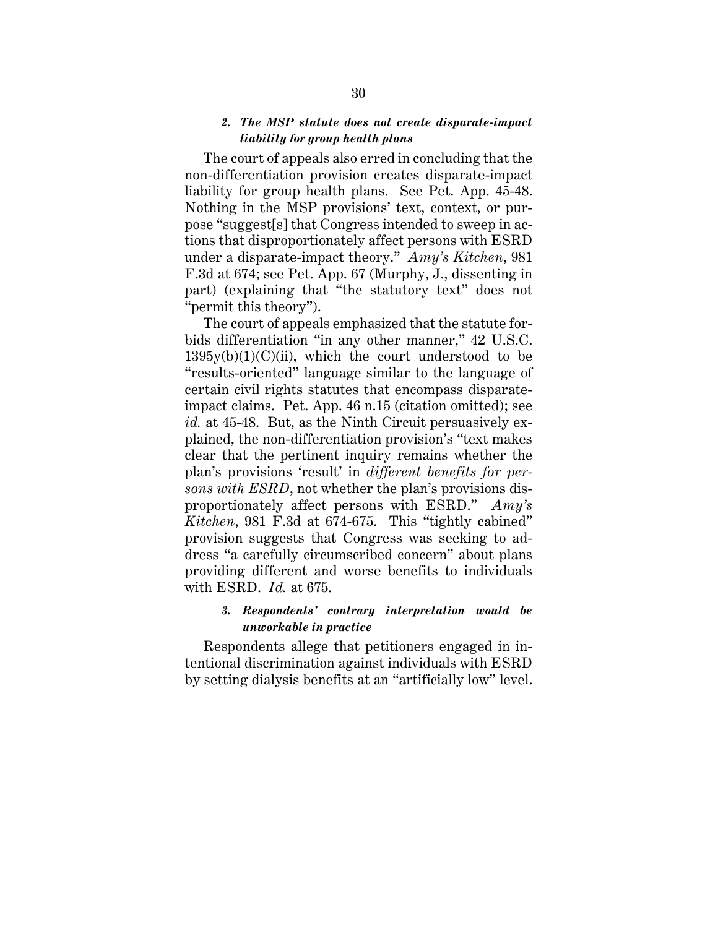## *2. The MSP statute does not create disparate-impact liability for group health plans*

The court of appeals also erred in concluding that the non-differentiation provision creates disparate-impact liability for group health plans. See Pet. App. 45-48. Nothing in the MSP provisions' text, context, or purpose "suggest[s] that Congress intended to sweep in actions that disproportionately affect persons with ESRD under a disparate-impact theory." *Amy's Kitchen*, 981 F.3d at 674; see Pet. App. 67 (Murphy, J., dissenting in part) (explaining that "the statutory text" does not "permit this theory").

The court of appeals emphasized that the statute forbids differentiation "in any other manner," 42 U.S.C.  $1395y(b)(1)(C)(ii)$ , which the court understood to be "results-oriented" language similar to the language of certain civil rights statutes that encompass disparateimpact claims. Pet. App. 46 n.15 (citation omitted); see *id.* at 45-48. But, as the Ninth Circuit persuasively explained, the non-differentiation provision's "text makes clear that the pertinent inquiry remains whether the plan's provisions 'result' in *different benefits for persons with ESRD*, not whether the plan's provisions disproportionately affect persons with ESRD." *Amy's Kitchen*, 981 F.3d at 674-675. This "tightly cabined" provision suggests that Congress was seeking to address "a carefully circumscribed concern" about plans providing different and worse benefits to individuals with ESRD. *Id.* at 675.

## *3. Respondents' contrary interpretation would be unworkable in practice*

Respondents allege that petitioners engaged in intentional discrimination against individuals with ESRD by setting dialysis benefits at an "artificially low" level.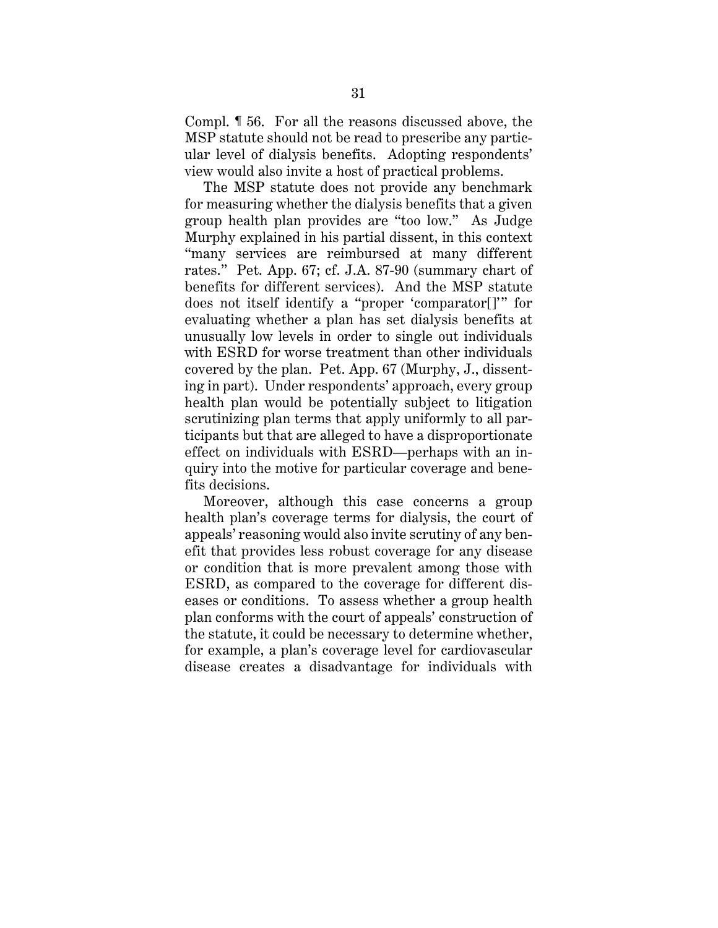Compl. ¶ 56. For all the reasons discussed above, the MSP statute should not be read to prescribe any particular level of dialysis benefits. Adopting respondents' view would also invite a host of practical problems.

The MSP statute does not provide any benchmark for measuring whether the dialysis benefits that a given group health plan provides are "too low." As Judge Murphy explained in his partial dissent, in this context "many services are reimbursed at many different rates." Pet. App. 67; cf. J.A. 87-90 (summary chart of benefits for different services). And the MSP statute does not itself identify a "proper 'comparator[]'" for evaluating whether a plan has set dialysis benefits at unusually low levels in order to single out individuals with ESRD for worse treatment than other individuals covered by the plan. Pet. App. 67 (Murphy, J., dissenting in part). Under respondents' approach, every group health plan would be potentially subject to litigation scrutinizing plan terms that apply uniformly to all participants but that are alleged to have a disproportionate effect on individuals with ESRD—perhaps with an inquiry into the motive for particular coverage and benefits decisions.

Moreover, although this case concerns a group health plan's coverage terms for dialysis, the court of appeals' reasoning would also invite scrutiny of any benefit that provides less robust coverage for any disease or condition that is more prevalent among those with ESRD, as compared to the coverage for different diseases or conditions. To assess whether a group health plan conforms with the court of appeals' construction of the statute, it could be necessary to determine whether, for example, a plan's coverage level for cardiovascular disease creates a disadvantage for individuals with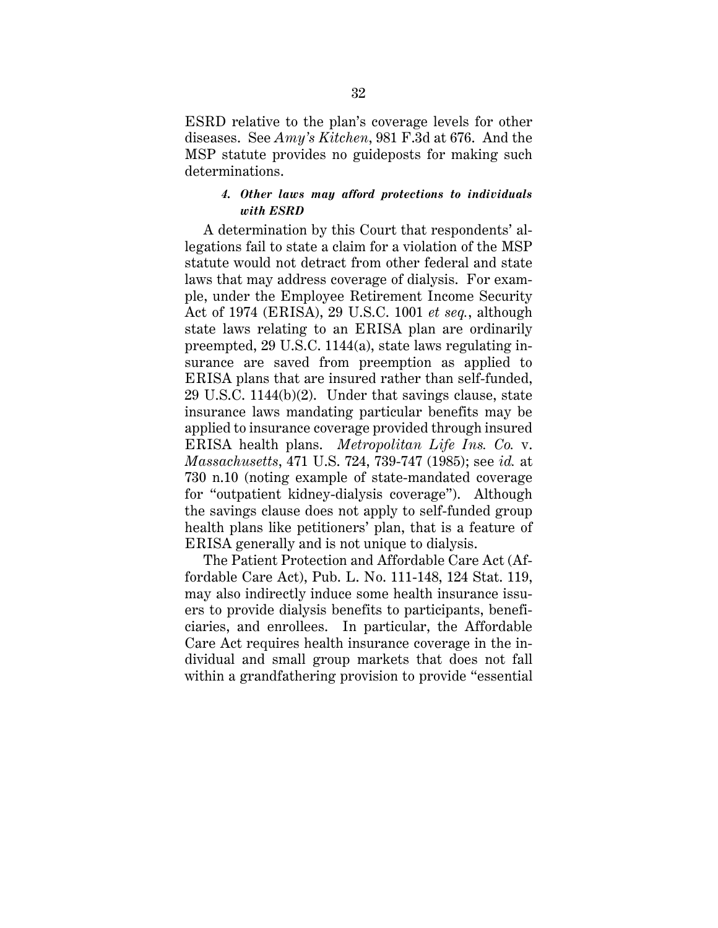ESRD relative to the plan's coverage levels for other diseases. See *Amy's Kitchen*, 981 F.3d at 676. And the MSP statute provides no guideposts for making such determinations.

## *4. Other laws may afford protections to individuals with ESRD*

A determination by this Court that respondents' allegations fail to state a claim for a violation of the MSP statute would not detract from other federal and state laws that may address coverage of dialysis. For example, under the Employee Retirement Income Security Act of 1974 (ERISA), 29 U.S.C. 1001 *et seq.*, although state laws relating to an ERISA plan are ordinarily preempted, 29 U.S.C. 1144(a), state laws regulating insurance are saved from preemption as applied to ERISA plans that are insured rather than self-funded, 29 U.S.C. 1144(b)(2). Under that savings clause, state insurance laws mandating particular benefits may be applied to insurance coverage provided through insured ERISA health plans. *Metropolitan Life Ins. Co.* v. *Massachusetts*, 471 U.S. 724, 739-747 (1985); see *id.* at 730 n.10 (noting example of state-mandated coverage for "outpatient kidney-dialysis coverage"). Although the savings clause does not apply to self-funded group health plans like petitioners' plan, that is a feature of ERISA generally and is not unique to dialysis.

The Patient Protection and Affordable Care Act (Affordable Care Act), Pub. L. No. 111-148, 124 Stat. 119, may also indirectly induce some health insurance issuers to provide dialysis benefits to participants, beneficiaries, and enrollees. In particular, the Affordable Care Act requires health insurance coverage in the individual and small group markets that does not fall within a grandfathering provision to provide "essential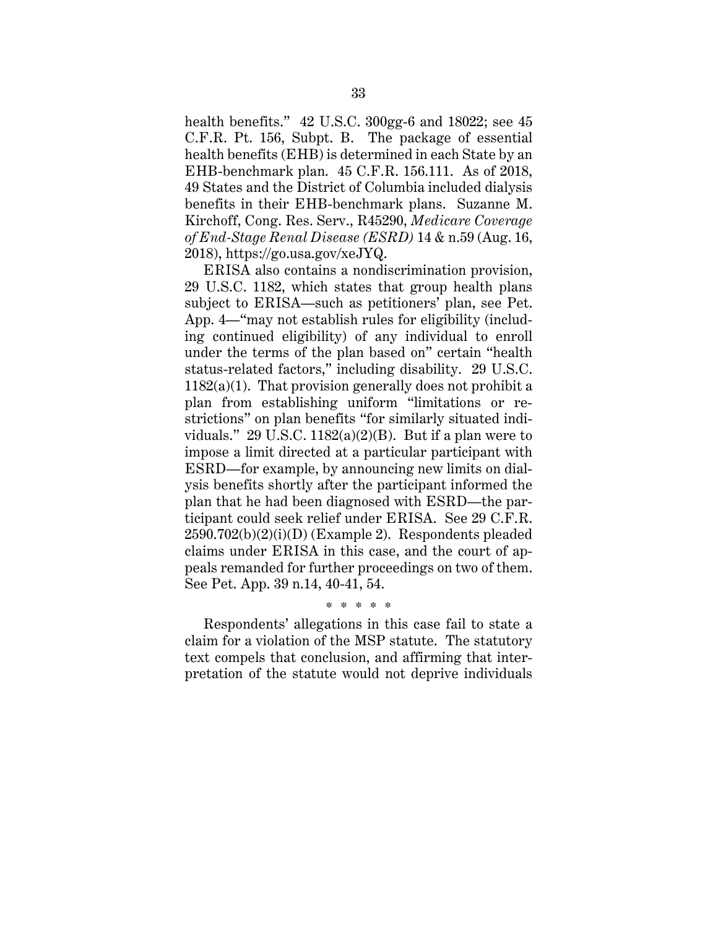health benefits." 42 U.S.C. 300gg-6 and 18022; see 45 C.F.R. Pt. 156, Subpt. B. The package of essential health benefits (EHB) is determined in each State by an EHB-benchmark plan. 45 C.F.R. 156.111. As of 2018, 49 States and the District of Columbia included dialysis benefits in their EHB-benchmark plans. Suzanne M. Kirchoff, Cong. Res. Serv., R45290, *Medicare Coverage of End-Stage Renal Disease (ESRD)* 14 & n.59 (Aug. 16, 2018), https://go.usa.gov/xeJYQ.

ERISA also contains a nondiscrimination provision, 29 U.S.C. 1182, which states that group health plans subject to ERISA—such as petitioners' plan, see Pet. App. 4—"may not establish rules for eligibility (including continued eligibility) of any individual to enroll under the terms of the plan based on" certain "health status-related factors," including disability. 29 U.S.C.  $1182(a)(1)$ . That provision generally does not prohibit a plan from establishing uniform "limitations or restrictions" on plan benefits "for similarly situated individuals." 29 U.S.C.  $1182(a)(2)(B)$ . But if a plan were to impose a limit directed at a particular participant with ESRD—for example, by announcing new limits on dialysis benefits shortly after the participant informed the plan that he had been diagnosed with ESRD—the participant could seek relief under ERISA. See 29 C.F.R.  $2590.702(b)(2)(i)(D)$  (Example 2). Respondents pleaded claims under ERISA in this case, and the court of appeals remanded for further proceedings on two of them. See Pet. App. 39 n.14, 40-41, 54.

\* \* \* \* \*

Respondents' allegations in this case fail to state a claim for a violation of the MSP statute. The statutory text compels that conclusion, and affirming that interpretation of the statute would not deprive individuals